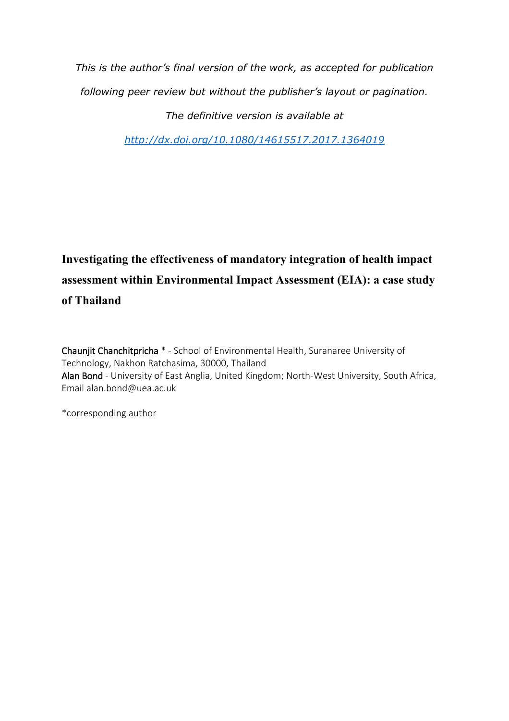*This is the author's final version of the work, as accepted for publication following peer review but without the publisher's layout or pagination. The definitive version is available at* 

*<http://dx.doi.org/10.1080/14615517.2017.1364019>*

# **Investigating the effectiveness of mandatory integration of health impact assessment within Environmental Impact Assessment (EIA): a case study of Thailand**

Chaunjit Chanchitpricha \* - School of Environmental Health, Suranaree University of Technology, Nakhon Ratchasima, 30000, Thailand Alan Bond - University of East Anglia, United Kingdom; North-West University, South Africa, Email alan.bond@uea.ac.uk

\*corresponding author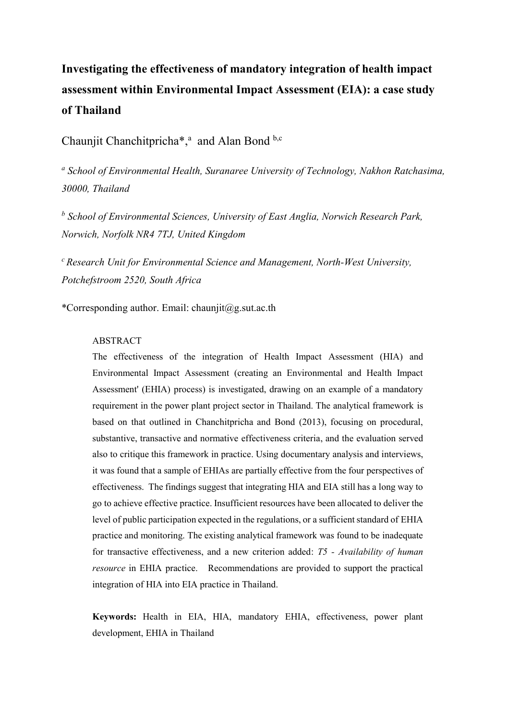# **Investigating the effectiveness of mandatory integration of health impact assessment within Environmental Impact Assessment (EIA): a case study of Thailand**

Chaunjit Chanchitpricha<sup>\*</sup>,<sup>a</sup> and Alan Bond b,c

<sup>a</sup> School of Environmental Health, Suranaree University of Technology, Nakhon Ratchasima, *30000, Thailand*

*b School of Environmental Sciences, University of East Anglia, Norwich Research Park, Norwich, Norfolk NR4 7TJ, United Kingdom*

*<sup>c</sup>Research Unit for Environmental Science and Management, North-West University, Potchefstroom 2520, South Africa*

\*Corresponding author. Email: [chaunjit@g.sut.ac.th](mailto:chaunjit@g.sut.ac.th)

## ABSTRACT

The effectiveness of the integration of Health Impact Assessment (HIA) and Environmental Impact Assessment (creating an Environmental and Health Impact Assessment' (EHIA) process) is investigated, drawing on an example of a mandatory requirement in the power plant project sector in Thailand. The analytical framework is based on that outlined in Chanchitpricha and Bond (2013), focusing on procedural, substantive, transactive and normative effectiveness criteria, and the evaluation served also to critique this framework in practice. Using documentary analysis and interviews, it was found that a sample of EHIAs are partially effective from the four perspectives of effectiveness. The findings suggest that integrating HIA and EIA still has a long way to go to achieve effective practice. Insufficient resources have been allocated to deliver the level of public participation expected in the regulations, or a sufficient standard of EHIA practice and monitoring. The existing analytical framework was found to be inadequate for transactive effectiveness, and a new criterion added: *T5 - Availability of human resource* in EHIA practice. Recommendations are provided to support the practical integration of HIA into EIA practice in Thailand.

**Keywords:** Health in EIA, HIA, mandatory EHIA, effectiveness, power plant development, EHIA in Thailand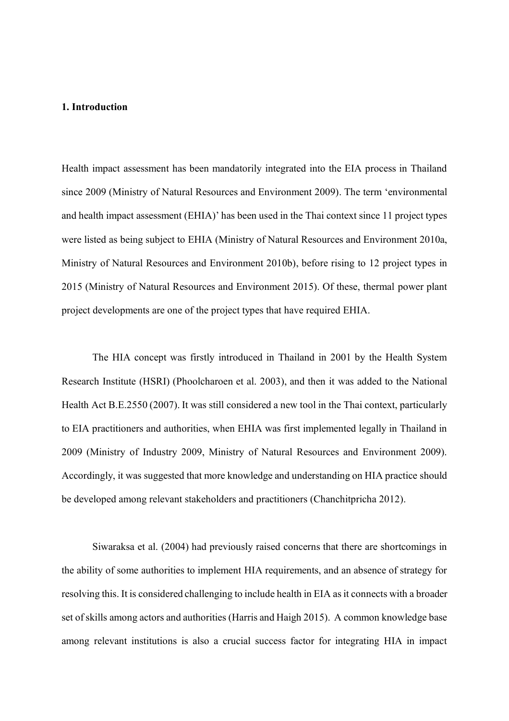## **1. Introduction**

Health impact assessment has been mandatorily integrated into the EIA process in Thailand since 2009 (Ministry of Natural Resources and Environment 2009). The term 'environmental and health impact assessment (EHIA)' has been used in the Thai context since 11 project types were listed as being subject to EHIA (Ministry of Natural Resources and Environment 2010a, Ministry of Natural Resources and Environment 2010b), before rising to 12 project types in 2015 (Ministry of Natural Resources and Environment 2015). Of these, thermal power plant project developments are one of the project types that have required EHIA.

The HIA concept was firstly introduced in Thailand in 2001 by the Health System Research Institute (HSRI) (Phoolcharoen et al. 2003), and then it was added to the National Health Act B.E.2550 (2007). It was still considered a new tool in the Thai context, particularly to EIA practitioners and authorities, when EHIA was first implemented legally in Thailand in 2009 (Ministry of Industry 2009, Ministry of Natural Resources and Environment 2009). Accordingly, it was suggested that more knowledge and understanding on HIA practice should be developed among relevant stakeholders and practitioners (Chanchitpricha 2012).

Siwaraksa et al. (2004) had previously raised concerns that there are shortcomings in the ability of some authorities to implement HIA requirements, and an absence of strategy for resolving this. It is considered challenging to include health in EIA as it connects with a broader set of skills among actors and authorities (Harris and Haigh 2015). A common knowledge base among relevant institutions is also a crucial success factor for integrating HIA in impact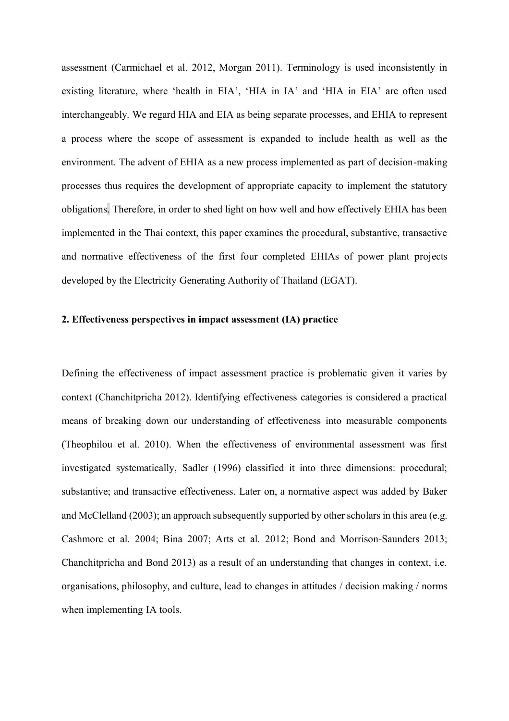assessment (Carmichael et al. 2012, Morgan 2011). Terminology is used inconsistently in existing literature, where 'health in EIA', 'HIA in IA' and 'HIA in EIA' are often used interchangeably. We regard HIA and EIA as being separate processes, and EHIA to represent a process where the scope of assessment is expanded to include health as well as the environment. The advent of EHIA as a new process implemented as part of decision-making processes thus requires the development of appropriate capacity to implement the statutory obligations. Therefore, in order to shed light on how well and how effectively EHIA has been implemented in the Thai context, this paper examines the procedural, substantive, transactive and normative effectiveness of the first four completed EHIAs of power plant projects developed by the Electricity Generating Authority of Thailand (EGAT).

## **2. Effectiveness perspectives in impact assessment (IA) practice**

Defining the effectiveness of impact assessment practice is problematic given it varies by context (Chanchitpricha 2012). Identifying effectiveness categories is considered a practical means of breaking down our understanding of effectiveness into measurable components (Theophilou et al. 2010). When the effectiveness of environmental assessment was first investigated systematically, Sadler (1996) classified it into three dimensions: procedural; substantive; and transactive effectiveness. Later on, a normative aspect was added by Baker and McClelland (2003); an approach subsequently supported by other scholars in this area (e.g. Cashmore et al. 2004; Bina 2007; Arts et al. 2012; Bond and Morrison-Saunders 2013; Chanchitpricha and Bond 2013) as a result of an understanding that changes in context, i.e. organisations, philosophy, and culture, lead to changes in attitudes / decision making / norms when implementing IA tools.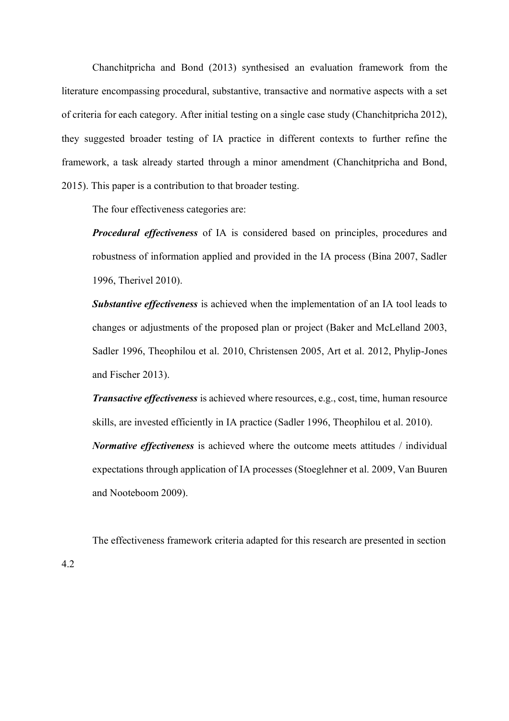Chanchitpricha and Bond (2013) synthesised an evaluation framework from the literature encompassing procedural, substantive, transactive and normative aspects with a set of criteria for each category. After initial testing on a single case study (Chanchitpricha 2012), they suggested broader testing of IA practice in different contexts to further refine the framework, a task already started through a minor amendment (Chanchitpricha and Bond, 2015). This paper is a contribution to that broader testing.

The four effectiveness categories are:

*Procedural effectiveness* of IA is considered based on principles, procedures and robustness of information applied and provided in the IA process (Bina 2007, Sadler 1996, Therivel 2010).

*Substantive effectiveness* is achieved when the implementation of an IA tool leads to changes or adjustments of the proposed plan or project (Baker and McLelland 2003, Sadler 1996, Theophilou et al. 2010, Christensen 2005, Art et al. 2012, Phylip-Jones and Fischer 2013).

*Transactive effectiveness* is achieved where resources, e.g., cost, time, human resource skills, are invested efficiently in IA practice (Sadler 1996, Theophilou et al. 2010).

*Normative effectiveness* is achieved where the outcome meets attitudes / individual expectations through application of IA processes (Stoeglehner et al. 2009, Van Buuren and Nooteboom 2009).

The effectiveness framework criteria adapted for this research are presented in section 4.2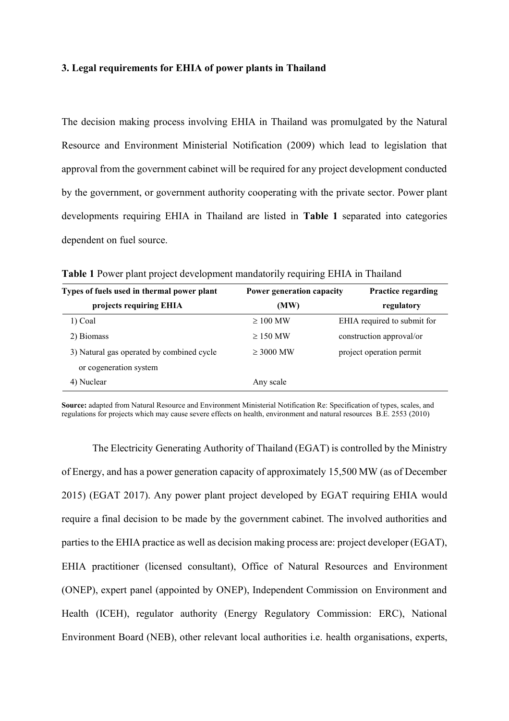### **3. Legal requirements for EHIA of power plants in Thailand**

The decision making process involving EHIA in Thailand was promulgated by the Natural Resource and Environment Ministerial Notification (2009) which lead to legislation that approval from the government cabinet will be required for any project development conducted by the government, or government authority cooperating with the private sector. Power plant developments requiring EHIA in Thailand are listed in **Table 1** separated into categories dependent on fuel source.

| Types of fuels used in thermal power plant | Power generation capacity | <b>Practice regarding</b>   |  |
|--------------------------------------------|---------------------------|-----------------------------|--|
| projects requiring EHIA                    | (MW)                      | regulatory                  |  |
| 1) Coal                                    | $\geq 100$ MW             | EHIA required to submit for |  |
| 2) Biomass                                 | $\geq$ 150 MW             | construction approval/or    |  |
| 3) Natural gas operated by combined cycle  | $\geq$ 3000 MW            | project operation permit    |  |
| or cogeneration system                     |                           |                             |  |
| 4) Nuclear                                 | Any scale                 |                             |  |

**Table 1** Power plant project development mandatorily requiring EHIA in Thailand

**Source:** adapted from Natural Resource and Environment Ministerial Notification Re: Specification of types, scales, and regulations for projects which may cause severe effects on health, environment and natural resources B.E. 2553 (2010)

The Electricity Generating Authority of Thailand (EGAT) is controlled by the Ministry of Energy, and has a power generation capacity of approximately 15,500 MW (as of December 2015) (EGAT 2017). Any power plant project developed by EGAT requiring EHIA would require a final decision to be made by the government cabinet. The involved authorities and parties to the EHIA practice as well as decision making process are: project developer (EGAT), EHIA practitioner (licensed consultant), Office of Natural Resources and Environment (ONEP), expert panel (appointed by ONEP), Independent Commission on Environment and Health (ICEH), regulator authority (Energy Regulatory Commission: ERC), National Environment Board (NEB), other relevant local authorities i.e. health organisations, experts,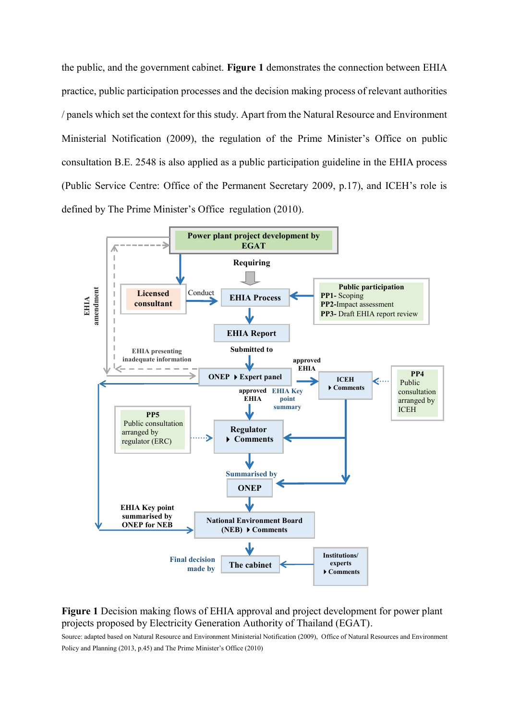the public, and the government cabinet. **Figure 1** demonstrates the connection between EHIA practice, public participation processes and the decision making process of relevant authorities / panels which set the context for this study. Apart from the Natural Resource and Environment Ministerial Notification (2009), the regulation of the Prime Minister's Office on public consultation B.E. 2548 is also applied as a public participation guideline in the EHIA process (Public Service Centre: Office of the Permanent Secretary 2009, p.17), and ICEH's role is defined by The Prime Minister's Office regulation (2010).



## **Figure 1** Decision making flows of EHIA approval and project development for power plant projects proposed by Electricity Generation Authority of Thailand (EGAT).

Source: adapted based on Natural Resource and Environment Ministerial Notification (2009), Office of Natural Resources and Environment Policy and Planning (2013, p.45) and The Prime Minister's Office (2010)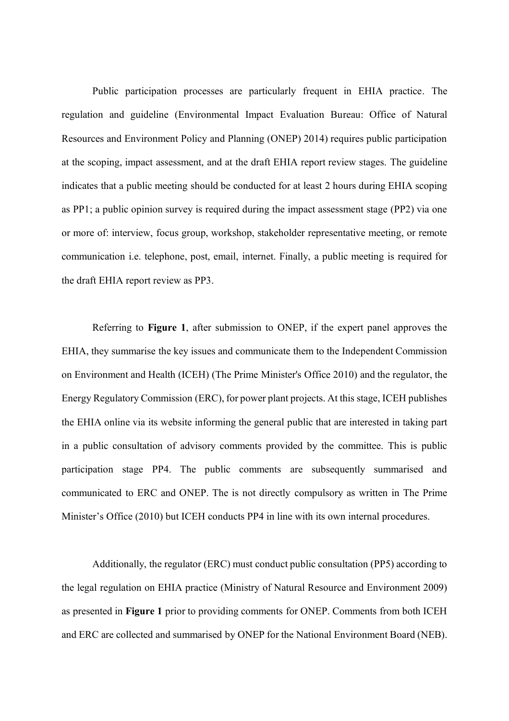Public participation processes are particularly frequent in EHIA practice. The regulation and guideline (Environmental Impact Evaluation Bureau: Office of Natural Resources and Environment Policy and Planning (ONEP) 2014) requires public participation at the scoping, impact assessment, and at the draft EHIA report review stages. The guideline indicates that a public meeting should be conducted for at least 2 hours during EHIA scoping as PP1; a public opinion survey is required during the impact assessment stage (PP2) via one or more of: interview, focus group, workshop, stakeholder representative meeting, or remote communication i.e. telephone, post, email, internet. Finally, a public meeting is required for the draft EHIA report review as PP3.

Referring to **Figure 1**, after submission to ONEP, if the expert panel approves the EHIA, they summarise the key issues and communicate them to the Independent Commission on Environment and Health (ICEH) (The Prime Minister's Office 2010) and the regulator, the Energy Regulatory Commission (ERC), for power plant projects. At this stage, ICEH publishes the EHIA online via its website informing the general public that are interested in taking part in a public consultation of advisory comments provided by the committee. This is public participation stage PP4. The public comments are subsequently summarised and communicated to ERC and ONEP. The is not directly compulsory as written in The Prime Minister's Office (2010) but ICEH conducts PP4 in line with its own internal procedures.

Additionally, the regulator (ERC) must conduct public consultation (PP5) according to the legal regulation on EHIA practice (Ministry of Natural Resource and Environment 2009) as presented in **Figure 1** prior to providing comments for ONEP. Comments from both ICEH and ERC are collected and summarised by ONEP for the National Environment Board (NEB).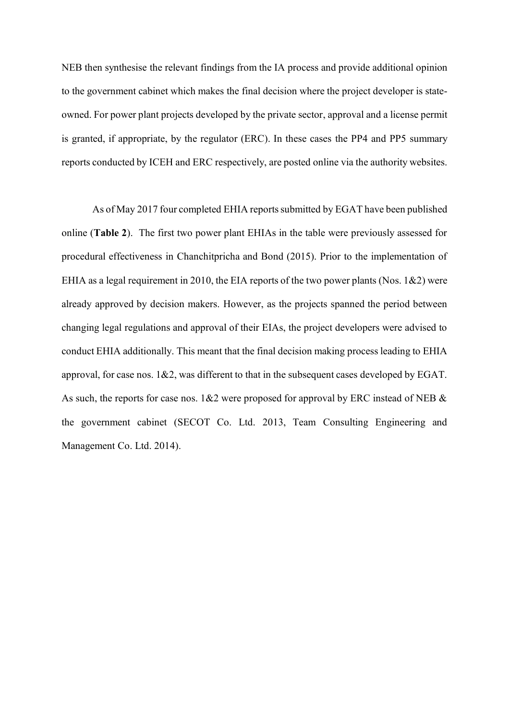NEB then synthesise the relevant findings from the IA process and provide additional opinion to the government cabinet which makes the final decision where the project developer is stateowned. For power plant projects developed by the private sector, approval and a license permit is granted, if appropriate, by the regulator (ERC). In these cases the PP4 and PP5 summary reports conducted by ICEH and ERC respectively, are posted online via the authority websites.

As of May 2017 four completed EHIA reports submitted by EGAT have been published online (**Table 2**). The first two power plant EHIAs in the table were previously assessed for procedural effectiveness in Chanchitpricha and Bond (2015). Prior to the implementation of EHIA as a legal requirement in 2010, the EIA reports of the two power plants (Nos.  $1\&2$ ) were already approved by decision makers. However, as the projects spanned the period between changing legal regulations and approval of their EIAs, the project developers were advised to conduct EHIA additionally. This meant that the final decision making process leading to EHIA approval, for case nos.  $1&2$ , was different to that in the subsequent cases developed by EGAT. As such, the reports for case nos.  $1\&2$  were proposed for approval by ERC instead of NEB  $\&$ the government cabinet (SECOT Co. Ltd. 2013, Team Consulting Engineering and Management Co. Ltd. 2014).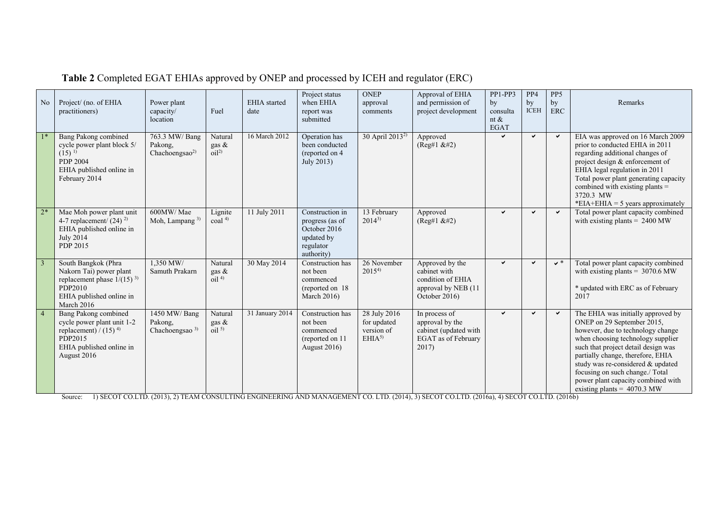| No             | Project/ (no. of EHIA<br>practitioners)                                                                                                      | Power plant<br>capacity/<br>location                   | Fuel                                                 | <b>EHIA</b> started<br>date | Project status<br>when EHIA<br>report was<br>submitted                                      | <b>ONEP</b><br>approval<br>comments                            | Approval of EHIA<br>and permission of<br>project development                                    | PP1-PP3<br>by<br>consulta<br>nt $\&$<br>EGAT | PP4<br>by<br><b>ICEH</b> | PP <sub>5</sub><br>by<br><b>ERC</b> | Remarks                                                                                                                                                                                                                                                                                                                                                               |
|----------------|----------------------------------------------------------------------------------------------------------------------------------------------|--------------------------------------------------------|------------------------------------------------------|-----------------------------|---------------------------------------------------------------------------------------------|----------------------------------------------------------------|-------------------------------------------------------------------------------------------------|----------------------------------------------|--------------------------|-------------------------------------|-----------------------------------------------------------------------------------------------------------------------------------------------------------------------------------------------------------------------------------------------------------------------------------------------------------------------------------------------------------------------|
| $1*$           | Bang Pakong combined<br>cycle power plant block 5/<br>$(15)^{1}$<br><b>PDP 2004</b><br>EHIA published online in<br>February 2014             | 763.3 MW/Bang<br>Pakong,<br>Chachoengsao <sup>2)</sup> | Natural<br>gas &<br>$\rm \tilde{o}$ il <sup>2)</sup> | 16 March 2012               | Operation has<br>been conducted<br>(reported on 4<br>July 2013)                             | 30 April 2013 <sup>2)</sup>                                    | Approved<br>(Reg#1 & 2#2)                                                                       | ✓                                            | $\checkmark$             | $\checkmark$                        | EIA was approved on 16 March 2009<br>prior to conducted EHIA in 2011<br>regarding additional changes of<br>project design & enforcement of<br>EHIA legal regulation in 2011<br>Total power plant generating capacity<br>combined with existing plants =<br>3720.3 MW<br>*EIA+EHIA = 5 years approximately                                                             |
| $2*$           | Mae Moh power plant unit<br>4-7 replacement/ $(24)$ <sup>2)</sup><br>EHIA published online in<br><b>July 2014</b><br>PDP 2015                | 600MW/Mae<br>Moh, Lampang <sup>3)</sup>                | Lignite<br>$\cosh$ <sup>4)</sup>                     | 11 July 2011                | Construction in<br>progress (as of<br>October 2016<br>updated by<br>regulator<br>authority) | 13 February<br>$2014^{3}$                                      | Approved<br>(Reg#1 & 2#2)                                                                       | ✓                                            | $\checkmark$             | $\checkmark$                        | Total power plant capacity combined<br>with existing plants = $2400$ MW                                                                                                                                                                                                                                                                                               |
| $\overline{3}$ | South Bangkok (Phra<br>Nakorn Tai) power plant<br>replacement phase $1/(15)^{3}$<br>PDP2010<br>EHIA published online in<br>March 2016        | 1,350 MW/<br>Samuth Prakarn                            | Natural<br>gas &<br>oil <sup>4</sup>                 | 30 May 2014                 | Construction has<br>not been<br>commenced<br>(reported on 18)<br><b>March 2016)</b>         | 26 November<br>$2015^{4}$                                      | Approved by the<br>cabinet with<br>condition of EHIA<br>approval by NEB (11<br>October 2016)    | ✓                                            | $\checkmark$             | $\mathbf{v}^*$                      | Total power plant capacity combined<br>with existing plants = $3070.6$ MW<br>* updated with ERC as of February<br>2017                                                                                                                                                                                                                                                |
| $\overline{4}$ | <b>Bang Pakong combined</b><br>cycle power plant unit 1-2<br>replacement) / $(15)^{4}$<br>PDP2015<br>EHIA published online in<br>August 2016 | 1450 MW/ Bang<br>Pakong,<br>Chachoengsao <sup>3)</sup> | Natural<br>gas &<br>oil <sup>5</sup>                 | 31 January 2014             | Construction has<br>not been<br>commenced<br>(reported on 11)<br><b>August 2016)</b>        | 28 July 2016<br>for updated<br>version of<br>EHIA <sup>5</sup> | In process of<br>approval by the<br>cabinet (updated with<br><b>EGAT</b> as of February<br>2017 | ✓                                            | $\checkmark$             | $\checkmark$                        | The EHIA was initially approved by<br>ONEP on 29 September 2015.<br>however, due to technology change<br>when choosing technology supplier<br>such that project detail design was<br>partially change, therefore, EHIA<br>study was re-considered & updated<br>focusing on such change./ Total<br>power plant capacity combined with<br>existing plants = $4070.3$ MW |

## **Table 2** Completed EGAT EHIAs approved by ONEP and processed by ICEH and regulator (ERC)

Source: 1) SECOT CO.LTD. (2013), 2) TEAM CONSULTING ENGINEERING AND MANAGEMENT CO. LTD. (2014), 3) SECOT CO.LTD. (2016a), 4) SECOT CO.LTD. (2016b)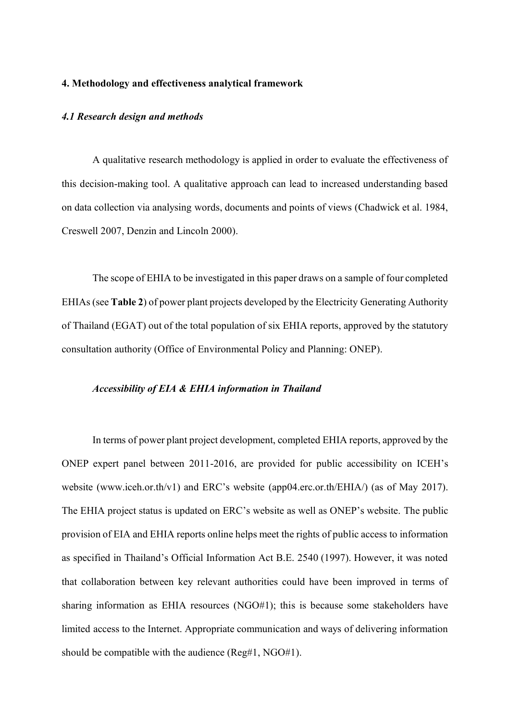## **4. Methodology and effectiveness analytical framework**

#### *4.1 Research design and methods*

A qualitative research methodology is applied in order to evaluate the effectiveness of this decision-making tool. A qualitative approach can lead to increased understanding based on data collection via analysing words, documents and points of views (Chadwick et al. 1984, Creswell 2007, Denzin and Lincoln 2000).

The scope of EHIA to be investigated in this paper draws on a sample of four completed EHIAs (see **Table 2**) of power plant projects developed by the Electricity Generating Authority of Thailand (EGAT) out of the total population of six EHIA reports, approved by the statutory consultation authority (Office of Environmental Policy and Planning: ONEP).

## *Accessibility of EIA & EHIA information in Thailand*

In terms of power plant project development, completed EHIA reports, approved by the ONEP expert panel between 2011-2016, are provided for public accessibility on ICEH's website (www.iceh.or.th/v1) and ERC's website (app04.erc.or.th/EHIA/) (as of May 2017). The EHIA project status is updated on ERC's website as well as ONEP's website. The public provision of EIA and EHIA reports online helps meet the rights of public access to information as specified in Thailand's Official Information Act B.E. 2540 (1997). However, it was noted that collaboration between key relevant authorities could have been improved in terms of sharing information as EHIA resources (NGO#1); this is because some stakeholders have limited access to the Internet. Appropriate communication and ways of delivering information should be compatible with the audience (Reg#1, NGO#1).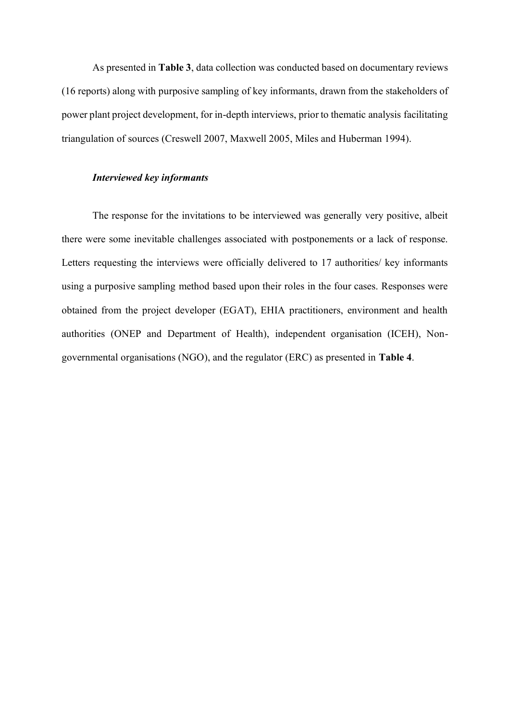As presented in **Table 3**, data collection was conducted based on documentary reviews (16 reports) along with purposive sampling of key informants, drawn from the stakeholders of power plant project development, for in-depth interviews, prior to thematic analysis facilitating triangulation of sources (Creswell 2007, Maxwell 2005, Miles and Huberman 1994).

## *Interviewed key informants*

The response for the invitations to be interviewed was generally very positive, albeit there were some inevitable challenges associated with postponements or a lack of response. Letters requesting the interviews were officially delivered to 17 authorities/ key informants using a purposive sampling method based upon their roles in the four cases. Responses were obtained from the project developer (EGAT), EHIA practitioners, environment and health authorities (ONEP and Department of Health), independent organisation (ICEH), Nongovernmental organisations (NGO), and the regulator (ERC) as presented in **Table 4**.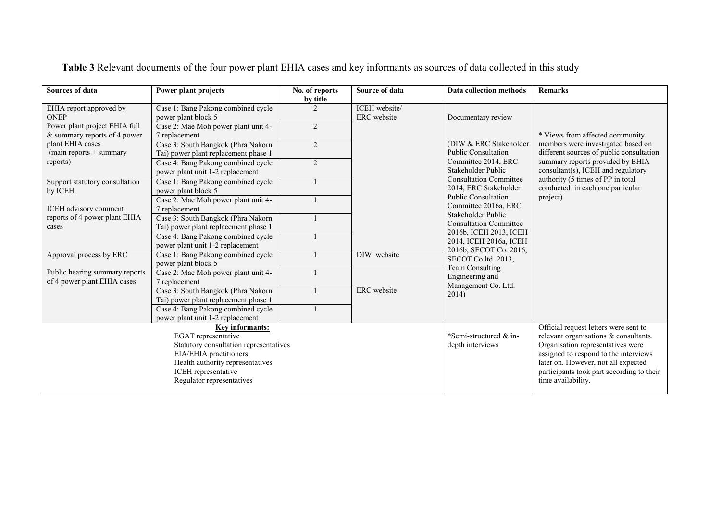| Sources of data                                               | Power plant projects                                                                                                                                                                               | No. of reports<br>by title | Source of data                             | Data collection methods                                                                                                                                                                                                                                                | <b>Remarks</b>                                                                                                    |
|---------------------------------------------------------------|----------------------------------------------------------------------------------------------------------------------------------------------------------------------------------------------------|----------------------------|--------------------------------------------|------------------------------------------------------------------------------------------------------------------------------------------------------------------------------------------------------------------------------------------------------------------------|-------------------------------------------------------------------------------------------------------------------|
| EHIA report approved by<br><b>ONEP</b>                        | Case 1: Bang Pakong combined cycle<br>power plant block 5                                                                                                                                          |                            | ICEH website/<br>ERC website               | Documentary review                                                                                                                                                                                                                                                     |                                                                                                                   |
| Power plant project EHIA full<br>& summary reports of 4 power | Case 2: Mae Moh power plant unit 4-<br>7 replacement                                                                                                                                               | 2                          |                                            |                                                                                                                                                                                                                                                                        | * Views from affected community<br>members were investigated based on<br>different sources of public consultation |
| plant EHIA cases<br>$(main$ reports + summary                 | Case 3: South Bangkok (Phra Nakorn<br>Tai) power plant replacement phase 1                                                                                                                         | $\overline{2}$             |                                            | (DIW & ERC Stakeholder<br><b>Public Consultation</b>                                                                                                                                                                                                                   |                                                                                                                   |
| reports)                                                      | Case 4: Bang Pakong combined cycle<br>power plant unit 1-2 replacement                                                                                                                             | 2                          |                                            | Committee 2014, ERC<br>Stakeholder Public                                                                                                                                                                                                                              | summary reports provided by EHIA<br>consultant(s), ICEH and regulatory                                            |
| Support statutory consultation<br>by ICEH                     | Case 1: Bang Pakong combined cycle<br>power plant block 5                                                                                                                                          |                            |                                            | <b>Consultation Committee</b><br>2014, ERC Stakeholder                                                                                                                                                                                                                 | authority (5 times of PP in total<br>conducted in each one particular                                             |
| ICEH advisory comment                                         | Case 2: Mae Moh power plant unit 4-<br>7 replacement                                                                                                                                               |                            |                                            | <b>Public Consultation</b><br>Committee 2016a, ERC                                                                                                                                                                                                                     | project)                                                                                                          |
| reports of 4 power plant EHIA<br>cases                        | Case 3: South Bangkok (Phra Nakorn)<br>Tai) power plant replacement phase 1                                                                                                                        |                            |                                            | Stakeholder Public<br><b>Consultation Committee</b>                                                                                                                                                                                                                    |                                                                                                                   |
|                                                               | Case 4: Bang Pakong combined cycle<br>power plant unit 1-2 replacement                                                                                                                             |                            |                                            | 2016b, ICEH 2013, ICEH<br>2014, ICEH 2016a, ICEH                                                                                                                                                                                                                       |                                                                                                                   |
| Approval process by ERC                                       | Case 1: Bang Pakong combined cycle<br>power plant block 5                                                                                                                                          |                            | DIW website                                | 2016b, SECOT Co. 2016,<br>SECOT Co.ltd. 2013,<br><b>Team Consulting</b>                                                                                                                                                                                                |                                                                                                                   |
| Public hearing summary reports<br>of 4 power plant EHIA cases | Case 2: Mae Moh power plant unit 4-<br>7 replacement                                                                                                                                               |                            |                                            | Engineering and<br>Management Co. Ltd.                                                                                                                                                                                                                                 |                                                                                                                   |
|                                                               | Case 3: South Bangkok (Phra Nakorn<br>Tai) power plant replacement phase 1                                                                                                                         |                            | ERC website                                | 2014)                                                                                                                                                                                                                                                                  |                                                                                                                   |
|                                                               | Case 4: Bang Pakong combined cycle<br>power plant unit 1-2 replacement                                                                                                                             |                            |                                            |                                                                                                                                                                                                                                                                        |                                                                                                                   |
|                                                               | Key informants:<br>EGAT representative<br>Statutory consultation representatives<br>EIA/EHIA practitioners<br>Health authority representatives<br>ICEH representative<br>Regulator representatives |                            | *Semi-structured & in-<br>depth interviews | Official request letters were sent to<br>relevant organisations & consultants.<br>Organisation representatives were<br>assigned to respond to the interviews<br>later on. However, not all expected<br>participants took part according to their<br>time availability. |                                                                                                                   |

**Table 3** Relevant documents of the four power plant EHIA cases and key informants as sources of data collected in this study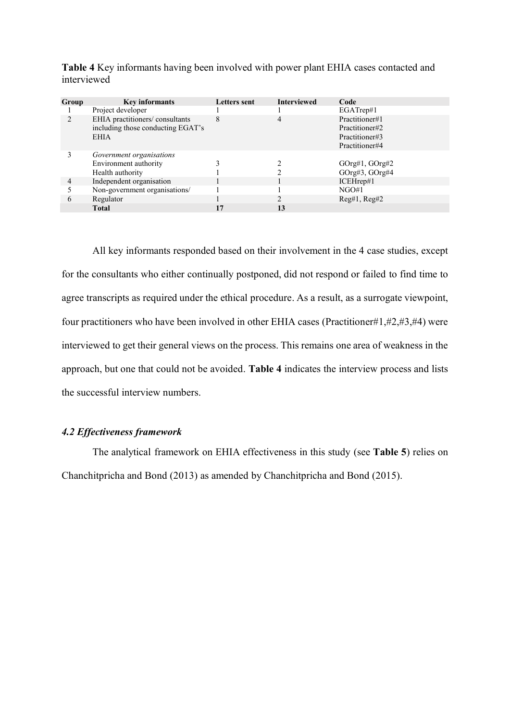| Group | <b>Key informants</b>                                                              | <b>Letters</b> sent | <b>Interviewed</b> | Code                                                                 |
|-------|------------------------------------------------------------------------------------|---------------------|--------------------|----------------------------------------------------------------------|
|       | Project developer                                                                  |                     |                    | EGATrep#1                                                            |
|       | EHIA practitioners/consultants<br>including those conducting EGAT's<br><b>EHIA</b> | 8                   | 4                  | Practitioner#1<br>Practitioner#2<br>Practitioner#3<br>Practitioner#4 |
|       | Government organisations                                                           |                     |                    |                                                                      |
|       | Environment authority                                                              |                     |                    | GOrg#1, GOrg#2                                                       |
|       | Health authority                                                                   |                     |                    | $GOrg#3$ , $GOrg#4$                                                  |
|       | Independent organisation                                                           |                     |                    | ICEHrep#1                                                            |
|       | Non-government organisations/                                                      |                     |                    | NGO#1                                                                |
| 6     | Regulator                                                                          |                     |                    | Reg#1, Reg#2                                                         |
|       | <b>Total</b>                                                                       | 17                  | 13                 |                                                                      |

**Table 4** Key informants having been involved with power plant EHIA cases contacted and interviewed

All key informants responded based on their involvement in the 4 case studies, except for the consultants who either continually postponed, did not respond or failed to find time to agree transcripts as required under the ethical procedure. As a result, as a surrogate viewpoint, four practitioners who have been involved in other EHIA cases (Practitioner#1,#2,#3,#4) were interviewed to get their general views on the process. This remains one area of weakness in the approach, but one that could not be avoided. **Table 4** indicates the interview process and lists the successful interview numbers.

## *4.2 Effectiveness framework*

The analytical framework on EHIA effectiveness in this study (see **Table 5**) relies on Chanchitpricha and Bond (2013) as amended by Chanchitpricha and Bond (2015).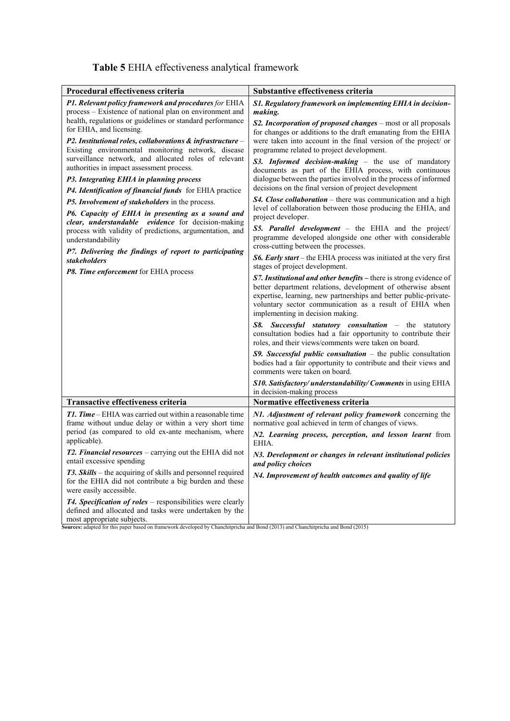| Table 5 EHIA effectiveness analytical framework |  |  |
|-------------------------------------------------|--|--|
|-------------------------------------------------|--|--|

| Procedural effectiveness criteria                                                                                                                                                                                                                                                                                                                                                                                                                                                                                                                                                                                                                                                                                                                                                                                                                                                                                          | Substantive effectiveness criteria                                                                                                                                                                                                                                                                                                                                                                                                                                                                                                                                                                                                                                                                                                                                                                                                                                                                                                                                                                                                                                                                                                                                                                                                                                                                                                                                                                                                                                                                                                                                    |
|----------------------------------------------------------------------------------------------------------------------------------------------------------------------------------------------------------------------------------------------------------------------------------------------------------------------------------------------------------------------------------------------------------------------------------------------------------------------------------------------------------------------------------------------------------------------------------------------------------------------------------------------------------------------------------------------------------------------------------------------------------------------------------------------------------------------------------------------------------------------------------------------------------------------------|-----------------------------------------------------------------------------------------------------------------------------------------------------------------------------------------------------------------------------------------------------------------------------------------------------------------------------------------------------------------------------------------------------------------------------------------------------------------------------------------------------------------------------------------------------------------------------------------------------------------------------------------------------------------------------------------------------------------------------------------------------------------------------------------------------------------------------------------------------------------------------------------------------------------------------------------------------------------------------------------------------------------------------------------------------------------------------------------------------------------------------------------------------------------------------------------------------------------------------------------------------------------------------------------------------------------------------------------------------------------------------------------------------------------------------------------------------------------------------------------------------------------------------------------------------------------------|
| <b>P1. Relevant policy framework and procedures</b> for EHIA<br>process – Existence of national plan on environment and<br>health, regulations or guidelines or standard performance<br>for EHIA, and licensing.<br>P2. Institutional roles, collaborations & infrastructure -<br>Existing environmental monitoring network, disease<br>surveillance network, and allocated roles of relevant<br>authorities in impact assessment process.<br>P3. Integrating EHIA in planning process<br>P4. Identification of financial funds for EHIA practice<br>P5. Involvement of stakeholders in the process.<br>P6. Capacity of EHIA in presenting as a sound and<br>clear, understandable evidence for decision-making<br>process with validity of predictions, argumentation, and<br>understandability<br>P7. Delivering the findings of report to participating<br><b>stakeholders</b><br>P8. Time enforcement for EHIA process | S1. Regulatory framework on implementing EHIA in decision-<br>making.<br>S2. Incorporation of proposed changes - most or all proposals<br>for changes or additions to the draft emanating from the EHIA<br>were taken into account in the final version of the project/ or<br>programme related to project development.<br>S3. Informed decision-making - the use of mandatory<br>documents as part of the EHIA process, with continuous<br>dialogue between the parties involved in the process of informed<br>decisions on the final version of project development<br>S4. Close collaboration - there was communication and a high<br>level of collaboration between those producing the EHIA, and<br>project developer.<br>S5. Parallel development - the EHIA and the project/<br>programme developed alongside one other with considerable<br>cross-cutting between the processes.<br><b>S6. Early start</b> – the EHIA process was initiated at the very first<br>stages of project development.<br>S7. Institutional and other benefits - there is strong evidence of<br>better department relations, development of otherwise absent<br>expertise, learning, new partnerships and better public-private-<br>voluntary sector communication as a result of EHIA when<br>implementing in decision making.<br>S8. Successful statutory consultation - the statutory<br>consultation bodies had a fair opportunity to contribute their<br>roles, and their views/comments were taken on board.<br>$S9.$ Successful public consultation - the public consultation |
|                                                                                                                                                                                                                                                                                                                                                                                                                                                                                                                                                                                                                                                                                                                                                                                                                                                                                                                            | bodies had a fair opportunity to contribute and their views and<br>comments were taken on board.<br>S10. Satisfactory/understandability/Comments in using EHIA                                                                                                                                                                                                                                                                                                                                                                                                                                                                                                                                                                                                                                                                                                                                                                                                                                                                                                                                                                                                                                                                                                                                                                                                                                                                                                                                                                                                        |
| <b>Transactive effectiveness criteria</b>                                                                                                                                                                                                                                                                                                                                                                                                                                                                                                                                                                                                                                                                                                                                                                                                                                                                                  | in decision-making process<br>Normative effectiveness criteria                                                                                                                                                                                                                                                                                                                                                                                                                                                                                                                                                                                                                                                                                                                                                                                                                                                                                                                                                                                                                                                                                                                                                                                                                                                                                                                                                                                                                                                                                                        |
| <b>T1. Time</b> – EHIA was carried out within a reasonable time<br>frame without undue delay or within a very short time<br>period (as compared to old ex-ante mechanism, where<br>applicable).                                                                                                                                                                                                                                                                                                                                                                                                                                                                                                                                                                                                                                                                                                                            | N1. Adjustment of relevant policy framework concerning the<br>normative goal achieved in term of changes of views.<br>N2. Learning process, perception, and lesson learnt from<br>EHIA.                                                                                                                                                                                                                                                                                                                                                                                                                                                                                                                                                                                                                                                                                                                                                                                                                                                                                                                                                                                                                                                                                                                                                                                                                                                                                                                                                                               |
| <b>T2. Financial resources</b> – carrying out the EHIA did not<br>entail excessive spending                                                                                                                                                                                                                                                                                                                                                                                                                                                                                                                                                                                                                                                                                                                                                                                                                                | N3. Development or changes in relevant institutional policies<br>and policy choices                                                                                                                                                                                                                                                                                                                                                                                                                                                                                                                                                                                                                                                                                                                                                                                                                                                                                                                                                                                                                                                                                                                                                                                                                                                                                                                                                                                                                                                                                   |
| T3. Skills - the acquiring of skills and personnel required<br>for the EHIA did not contribute a big burden and these<br>were easily accessible.                                                                                                                                                                                                                                                                                                                                                                                                                                                                                                                                                                                                                                                                                                                                                                           | N4. Improvement of health outcomes and quality of life                                                                                                                                                                                                                                                                                                                                                                                                                                                                                                                                                                                                                                                                                                                                                                                                                                                                                                                                                                                                                                                                                                                                                                                                                                                                                                                                                                                                                                                                                                                |
| T4. Specification of roles - responsibilities were clearly<br>defined and allocated and tasks were undertaken by the<br>most annropriate subjects                                                                                                                                                                                                                                                                                                                                                                                                                                                                                                                                                                                                                                                                                                                                                                          |                                                                                                                                                                                                                                                                                                                                                                                                                                                                                                                                                                                                                                                                                                                                                                                                                                                                                                                                                                                                                                                                                                                                                                                                                                                                                                                                                                                                                                                                                                                                                                       |

most appropriate subjects. **Sources:** adapted for this paper based on framework developed by Chanchitpricha and Bond (2013) and Chanchitpricha and Bond (2015)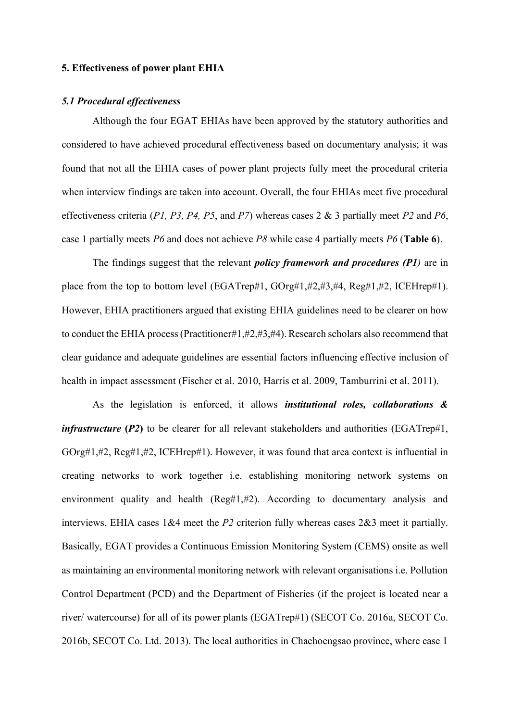### **5. Effectiveness of power plant EHIA**

## *5.1 Procedural effectiveness*

Although the four EGAT EHIAs have been approved by the statutory authorities and considered to have achieved procedural effectiveness based on documentary analysis; it was found that not all the EHIA cases of power plant projects fully meet the procedural criteria when interview findings are taken into account. Overall, the four EHIAs meet five procedural effectiveness criteria (*P1, P3, P4, P5*, and *P7*) whereas cases 2 & 3 partially meet *P2* and *P6*, case 1 partially meets *P6* and does not achieve *P8* while case 4 partially meets *P6* (**Table 6**).

The findings suggest that the relevant *policy framework and procedures (P1)* are in place from the top to bottom level (EGATrep#1, GOrg#1,#2,#3,#4, Reg#1,#2, ICEHrep#1). However, EHIA practitioners argued that existing EHIA guidelines need to be clearer on how to conduct the EHIA process(Practitioner#1,#2,#3,#4). Research scholars also recommend that clear guidance and adequate guidelines are essential factors influencing effective inclusion of health in impact assessment (Fischer et al. 2010, Harris et al. 2009, Tamburrini et al. 2011).

As the legislation is enforced, it allows *institutional roles, collaborations & infrastructure* (*P2*) to be clearer for all relevant stakeholders and authorities (EGATrep#1, GOrg#1,#2, Reg#1,#2, ICEHrep#1). However, it was found that area context is influential in creating networks to work together i.e. establishing monitoring network systems on environment quality and health (Reg#1,#2). According to documentary analysis and interviews, EHIA cases 1&4 meet the *P2* criterion fully whereas cases 2&3 meet it partially. Basically, EGAT provides a Continuous Emission Monitoring System (CEMS) onsite as well as maintaining an environmental monitoring network with relevant organisations i.e. Pollution Control Department (PCD) and the Department of Fisheries (if the project is located near a river/ watercourse) for all of its power plants (EGATrep#1) (SECOT Co. 2016a, SECOT Co. 2016b, SECOT Co. Ltd. 2013). The local authorities in Chachoengsao province, where case 1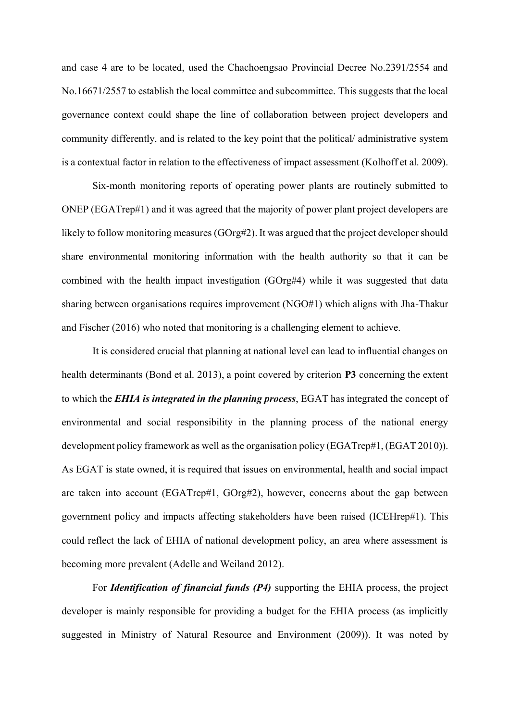and case 4 are to be located, used the Chachoengsao Provincial Decree No.2391/2554 and No.16671/2557 to establish the local committee and subcommittee. This suggests that the local governance context could shape the line of collaboration between project developers and community differently, and is related to the key point that the political/ administrative system is a contextual factor in relation to the effectiveness of impact assessment (Kolhoff et al. 2009).

Six-month monitoring reports of operating power plants are routinely submitted to ONEP (EGATrep#1) and it was agreed that the majority of power plant project developers are likely to follow monitoring measures (GOrg#2). It was argued that the project developer should share environmental monitoring information with the health authority so that it can be combined with the health impact investigation (GOrg#4) while it was suggested that data sharing between organisations requires improvement (NGO#1) which aligns with Jha-Thakur and Fischer (2016) who noted that monitoring is a challenging element to achieve.

It is considered crucial that planning at national level can lead to influential changes on health determinants (Bond et al. 2013), a point covered by criterion **P3** concerning the extent to which the *EHIA is integrated in the planning process*, EGAT has integrated the concept of environmental and social responsibility in the planning process of the national energy development policy framework as well as the organisation policy (EGATrep#1, (EGAT 2010)). As EGAT is state owned, it is required that issues on environmental, health and social impact are taken into account (EGATrep#1, GOrg#2), however, concerns about the gap between government policy and impacts affecting stakeholders have been raised (ICEHrep#1). This could reflect the lack of EHIA of national development policy, an area where assessment is becoming more prevalent (Adelle and Weiland 2012).

For *Identification of financial funds (P4)* supporting the EHIA process, the project developer is mainly responsible for providing a budget for the EHIA process (as implicitly suggested in Ministry of Natural Resource and Environment (2009)). It was noted by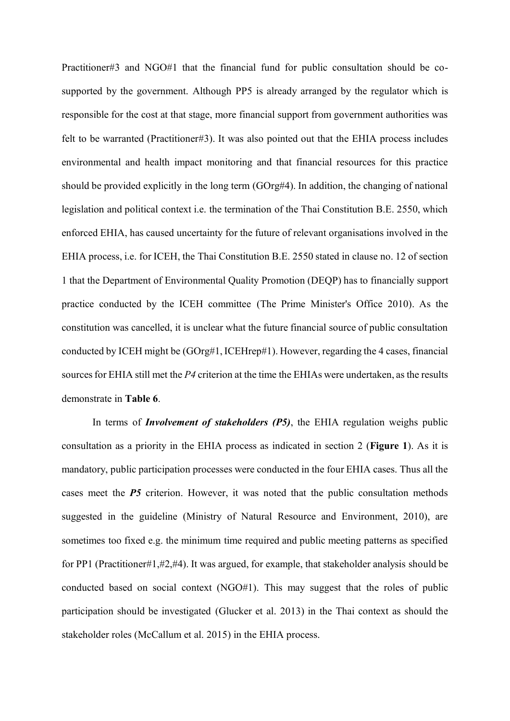Practitioner#3 and NGO#1 that the financial fund for public consultation should be cosupported by the government. Although PP5 is already arranged by the regulator which is responsible for the cost at that stage, more financial support from government authorities was felt to be warranted (Practitioner#3). It was also pointed out that the EHIA process includes environmental and health impact monitoring and that financial resources for this practice should be provided explicitly in the long term (GOrg#4). In addition, the changing of national legislation and political context i.e. the termination of the Thai Constitution B.E. 2550, which enforced EHIA, has caused uncertainty for the future of relevant organisations involved in the EHIA process, i.e. for ICEH, the Thai Constitution B.E. 2550 stated in clause no. 12 of section 1 that the Department of Environmental Quality Promotion (DEQP) has to financially support practice conducted by the ICEH committee (The Prime Minister's Office 2010). As the constitution was cancelled, it is unclear what the future financial source of public consultation conducted by ICEH might be (GOrg#1, ICEHrep#1). However, regarding the 4 cases, financial sources for EHIA still met the *P4* criterion at the time the EHIAs were undertaken, as the results demonstrate in **Table 6**.

In terms of *Involvement of stakeholders (P5)*, the EHIA regulation weighs public consultation as a priority in the EHIA process as indicated in section 2 (**Figure 1**). As it is mandatory, public participation processes were conducted in the four EHIA cases. Thus all the cases meet the *P5* criterion. However, it was noted that the public consultation methods suggested in the guideline (Ministry of Natural Resource and Environment, 2010), are sometimes too fixed e.g. the minimum time required and public meeting patterns as specified for PP1 (Practitioner#1,#2,#4). It was argued, for example, that stakeholder analysis should be conducted based on social context (NGO#1). This may suggest that the roles of public participation should be investigated (Glucker et al. 2013) in the Thai context as should the stakeholder roles (McCallum et al. 2015) in the EHIA process.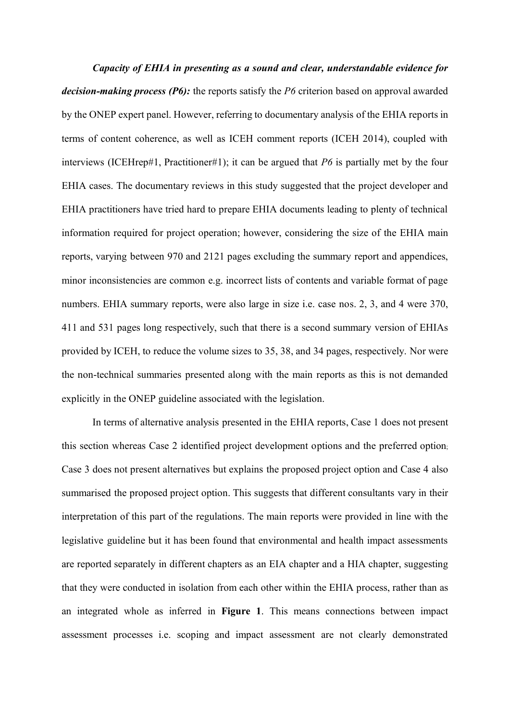*Capacity of EHIA in presenting as a sound and clear, understandable evidence for decision-making process (P6):* the reports satisfy the *P6* criterion based on approval awarded by the ONEP expert panel. However, referring to documentary analysis of the EHIA reports in terms of content coherence, as well as ICEH comment reports (ICEH 2014), coupled with interviews (ICEHrep#1, Practitioner#1); it can be argued that *P6* is partially met by the four EHIA cases. The documentary reviews in this study suggested that the project developer and EHIA practitioners have tried hard to prepare EHIA documents leading to plenty of technical information required for project operation; however, considering the size of the EHIA main reports, varying between 970 and 2121 pages excluding the summary report and appendices, minor inconsistencies are common e.g. incorrect lists of contents and variable format of page numbers. EHIA summary reports, were also large in size i.e. case nos. 2, 3, and 4 were 370, 411 and 531 pages long respectively, such that there is a second summary version of EHIAs provided by ICEH, to reduce the volume sizes to 35, 38, and 34 pages, respectively. Nor were the non-technical summaries presented along with the main reports as this is not demanded explicitly in the ONEP guideline associated with the legislation.

In terms of alternative analysis presented in the EHIA reports, Case 1 does not present this section whereas Case 2 identified project development options and the preferred option; Case 3 does not present alternatives but explains the proposed project option and Case 4 also summarised the proposed project option. This suggests that different consultants vary in their interpretation of this part of the regulations. The main reports were provided in line with the legislative guideline but it has been found that environmental and health impact assessments are reported separately in different chapters as an EIA chapter and a HIA chapter, suggesting that they were conducted in isolation from each other within the EHIA process, rather than as an integrated whole as inferred in **Figure 1**. This means connections between impact assessment processes i.e. scoping and impact assessment are not clearly demonstrated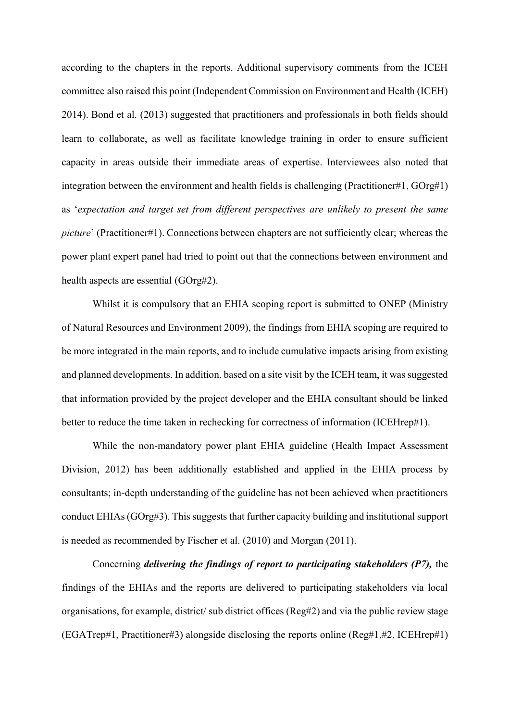according to the chapters in the reports. Additional supervisory comments from the ICEH committee also raised this point (Independent Commission on Environment and Health (ICEH) 2014). Bond et al. (2013) suggested that practitioners and professionals in both fields should learn to collaborate, as well as facilitate knowledge training in order to ensure sufficient capacity in areas outside their immediate areas of expertise. Interviewees also noted that integration between the environment and health fields is challenging (Practitioner#1, GOrg#1) as '*expectation and target set from different perspectives are unlikely to present the same picture*' (Practitioner#1). Connections between chapters are not sufficiently clear; whereas the power plant expert panel had tried to point out that the connections between environment and health aspects are essential (GOrg#2).

Whilst it is compulsory that an EHIA scoping report is submitted to ONEP (Ministry of Natural Resources and Environment 2009), the findings from EHIA scoping are required to be more integrated in the main reports, and to include cumulative impacts arising from existing and planned developments. In addition, based on a site visit by the ICEH team, it was suggested that information provided by the project developer and the EHIA consultant should be linked better to reduce the time taken in rechecking for correctness of information (ICEHrep#1).

While the non-mandatory power plant EHIA guideline (Health Impact Assessment Division, 2012) has been additionally established and applied in the EHIA process by consultants; in-depth understanding of the guideline has not been achieved when practitioners conduct EHIAs (GOrg#3). This suggests that further capacity building and institutional support is needed as recommended by Fischer et al. (2010) and Morgan (2011).

Concerning *delivering the findings of report to participating stakeholders (P7),* the findings of the EHIAs and the reports are delivered to participating stakeholders via local organisations, for example, district/ sub district offices (Reg#2) and via the public review stage (EGATrep#1, Practitioner#3) alongside disclosing the reports online (Reg#1,#2, ICEHrep#1)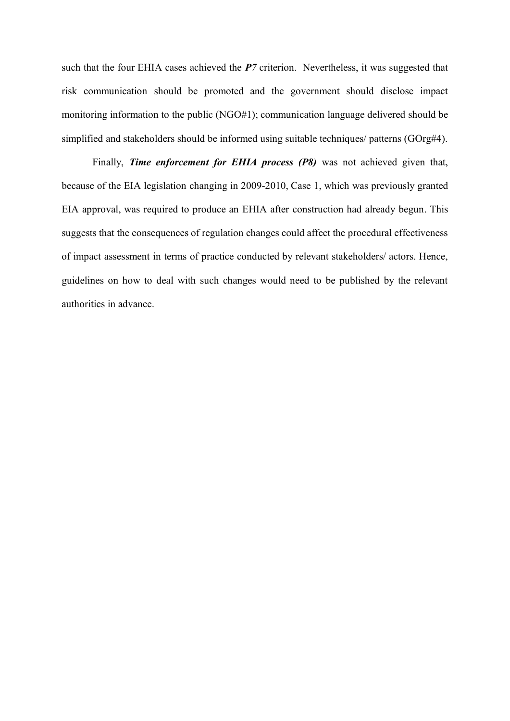such that the four EHIA cases achieved the **P**7 criterion. Nevertheless, it was suggested that risk communication should be promoted and the government should disclose impact monitoring information to the public (NGO#1); communication language delivered should be simplified and stakeholders should be informed using suitable techniques/ patterns (GOrg#4).

Finally, *Time enforcement for EHIA process (P8)* was not achieved given that, because of the EIA legislation changing in 2009-2010, Case 1, which was previously granted EIA approval, was required to produce an EHIA after construction had already begun. This suggests that the consequences of regulation changes could affect the procedural effectiveness of impact assessment in terms of practice conducted by relevant stakeholders/ actors. Hence, guidelines on how to deal with such changes would need to be published by the relevant authorities in advance.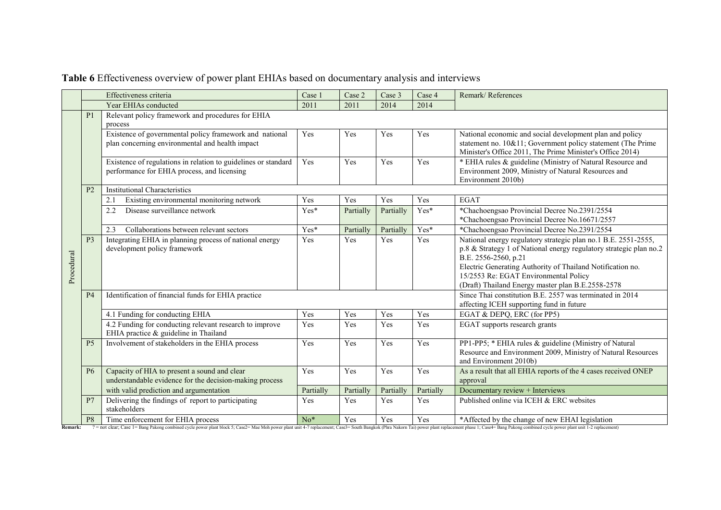|            | Effectiveness criteria |                                                                                                               |                                                                                                      | Case 2    | Case 3    | Case 4    | Remark/References                                                                                                                                                                                                                                                                                                        |
|------------|------------------------|---------------------------------------------------------------------------------------------------------------|------------------------------------------------------------------------------------------------------|-----------|-----------|-----------|--------------------------------------------------------------------------------------------------------------------------------------------------------------------------------------------------------------------------------------------------------------------------------------------------------------------------|
|            |                        | Year EHIAs conducted                                                                                          | 2011                                                                                                 | 2011      | 2014      | 2014      |                                                                                                                                                                                                                                                                                                                          |
|            | P <sub>1</sub>         | Relevant policy framework and procedures for EHIA<br>process                                                  |                                                                                                      |           |           |           |                                                                                                                                                                                                                                                                                                                          |
|            |                        | Existence of governmental policy framework and national<br>plan concerning environmental and health impact    | Yes                                                                                                  | Yes       | Yes       | Yes       | National economic and social development plan and policy<br>statement no. 10&11; Government policy statement (The Prime<br>Minister's Office 2011, The Prime Minister's Office 2014)                                                                                                                                     |
|            |                        | Existence of regulations in relation to guidelines or standard<br>performance for EHIA process, and licensing | Yes                                                                                                  | Yes       | Yes       | Yes       | * EHIA rules & guideline (Ministry of Natural Resource and<br>Environment 2009, Ministry of Natural Resources and<br>Environment 2010b)                                                                                                                                                                                  |
|            | P <sub>2</sub>         | <b>Institutional Characteristics</b>                                                                          |                                                                                                      |           |           |           |                                                                                                                                                                                                                                                                                                                          |
|            |                        | Existing environmental monitoring network<br>2.1                                                              | Yes                                                                                                  | Yes       | Yes       | Yes       | <b>EGAT</b>                                                                                                                                                                                                                                                                                                              |
|            |                        | Disease surveillance network<br>2.2                                                                           | Yes*                                                                                                 | Partially | Partially | Yes*      | *Chachoengsao Provincial Decree No.2391/2554<br>*Chachoengsao Provincial Decree No.16671/2557                                                                                                                                                                                                                            |
|            |                        | 2.3<br>Collaborations between relevant sectors                                                                | Yes*                                                                                                 | Partially | Partially | Yes*      | *Chachoengsao Provincial Decree No.2391/2554                                                                                                                                                                                                                                                                             |
| Procedural | P <sub>3</sub>         | Integrating EHIA in planning process of national energy<br>development policy framework                       | Yes                                                                                                  | Yes       | Yes       | Yes       | National energy regulatory strategic plan no.1 B.E. 2551-2555,<br>p.8 & Strategy 1 of National energy regulatory strategic plan no.2<br>B.E. 2556-2560, p.21<br>Electric Generating Authority of Thailand Notification no.<br>15/2553 Re: EGAT Environmental Policy<br>(Draft) Thailand Energy master plan B.E.2558-2578 |
|            | <b>P4</b>              | Identification of financial funds for EHIA practice                                                           | Since Thai constitution B.E. 2557 was terminated in 2014<br>affecting ICEH supporting fund in future |           |           |           |                                                                                                                                                                                                                                                                                                                          |
|            |                        | 4.1 Funding for conducting EHIA                                                                               | Yes                                                                                                  | Yes       | Yes       | Yes       | EGAT & DEPQ, ERC (for PP5)                                                                                                                                                                                                                                                                                               |
|            |                        | 4.2 Funding for conducting relevant research to improve<br>EHIA practice & guideline in Thailand              | Yes                                                                                                  | Yes       | Yes       | Yes       | EGAT supports research grants                                                                                                                                                                                                                                                                                            |
|            | P <sub>5</sub>         | Involvement of stakeholders in the EHIA process                                                               | Yes                                                                                                  | Yes       | Yes       | Yes       | PP1-PP5; * EHIA rules & guideline (Ministry of Natural<br>Resource and Environment 2009, Ministry of Natural Resources<br>and Environment 2010b)                                                                                                                                                                         |
|            | <b>P6</b>              | Capacity of HIA to present a sound and clear<br>understandable evidence for the decision-making process       | Yes                                                                                                  | Yes       | Yes       | Yes       | As a result that all EHIA reports of the 4 cases received ONEP<br>approval                                                                                                                                                                                                                                               |
|            |                        | with valid prediction and argumentation                                                                       | Partially                                                                                            | Partially | Partially | Partially | Documentary review + Interviews                                                                                                                                                                                                                                                                                          |
|            | P <sub>7</sub>         | Delivering the findings of report to participating<br>stakeholders                                            | Yes                                                                                                  | Yes       | Yes       | Yes       | Published online via ICEH & ERC websites                                                                                                                                                                                                                                                                                 |
|            | P <sub>8</sub>         | Time enforcement for EHIA process                                                                             | $No*$                                                                                                | Yes       | Yes       | Yes       | *Affected by the change of new EHAI legislation                                                                                                                                                                                                                                                                          |

## **Table 6** Effectiveness overview of power plant EHIAs based on documentary analysis and interviews

Remark: ? = not clear; Case 1= Bang Pakong combined cycle power plant block 5; Case2= Mae Moh power plant unit 4-7 replacement; Case3= South Bangkok (Phra Nakorn Tai) power plant replacement phase 1; Case4= Bang Pakong com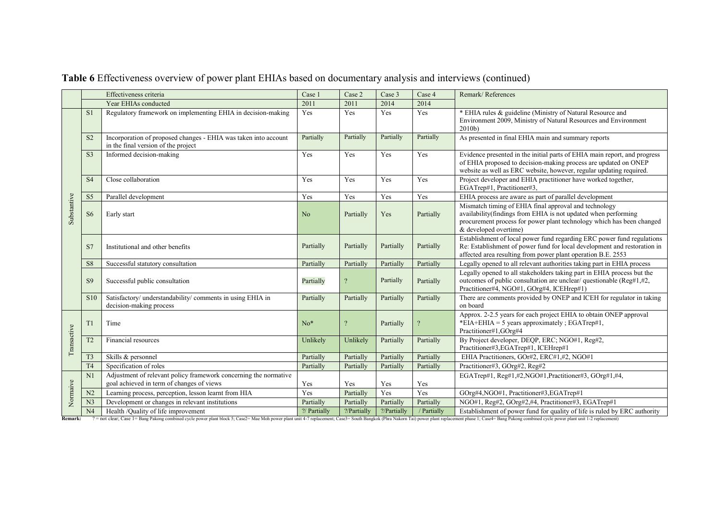|             | Effectiveness criteria |                                                                                                               | Case 1         | Case 2        | Case 3      | Case 4         | Remark/References                                                                                                                                                                                                         |
|-------------|------------------------|---------------------------------------------------------------------------------------------------------------|----------------|---------------|-------------|----------------|---------------------------------------------------------------------------------------------------------------------------------------------------------------------------------------------------------------------------|
|             |                        | Year EHIAs conducted                                                                                          | 2011           | 2011          | 2014        | 2014           |                                                                                                                                                                                                                           |
|             | S <sub>1</sub>         | Regulatory framework on implementing EHIA in decision-making                                                  | Yes            | Yes           | Yes         | Yes            | * EHIA rules & guideline (Ministry of Natural Resource and<br>Environment 2009, Ministry of Natural Resources and Environment<br>2010 <sub>b</sub>                                                                        |
|             | S <sub>2</sub>         | Incorporation of proposed changes - EHIA was taken into account<br>in the final version of the project        | Partially      | Partially     | Partially   | Partially      | As presented in final EHIA main and summary reports                                                                                                                                                                       |
|             | S <sub>3</sub>         | Informed decision-making                                                                                      | Yes            | Yes           | Yes         | Yes            | Evidence presented in the initial parts of EHIA main report, and progress<br>of EHIA proposed to decision-making process are updated on ONEP<br>website as well as ERC website, however, regular updating required.       |
|             | S <sub>4</sub>         | Close collaboration                                                                                           | Yes            | Yes           | Yes         | Yes            | Project developer and EHIA practitioner have worked together,<br>EGATrep#1, Practitioner#3,                                                                                                                               |
|             | S <sub>5</sub>         | Parallel development                                                                                          | Yes            | Yes           | Yes         | Yes            | EHIA process are aware as part of parallel development                                                                                                                                                                    |
| Substantive | S <sub>6</sub>         | Early start                                                                                                   | N <sub>o</sub> | Partially     | Yes         | Partially      | Mismatch timing of EHIA final approval and technology<br>availability(findings from EHIA is not updated when performing<br>procurement process for power plant technology which has been changed<br>& developed overtime) |
|             | S7                     | Institutional and other benefits                                                                              | Partially      | Partially     | Partially   | Partially      | Establishment of local power fund regarding ERC power fund regulations<br>Re: Establishment of power fund for local development and restoration in<br>affected area resulting from power plant operation B.E. 2553        |
|             | S <sub>8</sub>         | Successful statutory consultation                                                                             | Partially      | Partially     | Partially   | Partially      | Legally opened to all relevant authorities taking part in EHIA process                                                                                                                                                    |
|             | S <sub>9</sub>         | Successful public consultation                                                                                | Partially      | $\mathcal{P}$ | Partially   | Partially      | Legally opened to all stakeholders taking part in EHIA process but the<br>outcomes of public consultation are unclear/ questionable (Reg#1,#2,<br>Practitioner#4, NGO#1, GOrg#4, ICEHrep#1)                               |
|             | S <sub>10</sub>        | Satisfactory/ understandability/ comments in using EHIA in<br>decision-making process                         | Partially      | Partially     | Partially   | Partially      | There are comments provided by ONEP and ICEH for regulator in taking<br>on board                                                                                                                                          |
|             | T1                     | Time                                                                                                          | $No*$          |               | Partially   | $\overline{?}$ | Approx. 2-2.5 years for each project EHIA to obtain ONEP approval<br>*EIA+EHIA = 5 years approximately; EGATrep#1,<br>Practitioner#1,GOrg#4                                                                               |
| Transactive | T <sub>2</sub>         | Financial resources                                                                                           | Unlikely       | Unlikely      | Partially   | Partially      | By Project developer, DEQP, ERC; NGO#1, Reg#2,<br>Practitioner#3,EGATrep#1, ICEHrep#1                                                                                                                                     |
|             | T <sub>3</sub>         | Skills & personnel                                                                                            | Partially      | Partially     | Partially   | Partially      | EHIA Practitioners, GOr#2, ERC#1,#2, NGO#1                                                                                                                                                                                |
|             | T <sub>4</sub>         | Specification of roles                                                                                        | Partially      | Partially     | Partially   | Partially      | Practitioner#3, GOrg#2, Reg#2                                                                                                                                                                                             |
|             | N1                     | Adjustment of relevant policy framework concerning the normative<br>goal achieved in term of changes of views | Yes            | Yes           | Yes         | Yes            | EGATrep#1, Reg#1,#2,NGO#1, Practitioner#3, GOrg#1,#4,                                                                                                                                                                     |
|             | N <sub>2</sub>         | Learning process, perception, lesson learnt from HIA                                                          | Yes            | Partially     | Yes         | Yes            | GOrg#4,NGO#1, Practitioner#3,EGATrep#1                                                                                                                                                                                    |
| Normaive    | N <sub>3</sub>         | Development or changes in relevant institutions                                                               | Partially      | Partially     | Partially   | Partially      | NGO#1, Reg#2, GOrg#2,#4, Practitioner#3, EGATrep#1                                                                                                                                                                        |
|             | N <sub>4</sub>         | Health /Quality of life improvement                                                                           | ?/ Partially   | ?/Partially   | ?/Partially | / Partially    | Establishment of power fund for quality of life is ruled by ERC authority                                                                                                                                                 |

## **Table 6** Effectiveness overview of power plant EHIAs based on documentary analysis and interviews (continued)

Remark: ? = not clear; Case 1= Bang Pakong combined cycle power plant block 5; Case2= Mae Moh power plant unit 4-7 replacement; Case3= South Bangkok (Phra Nakorn Tai) power plant replacement phase 1; Case4= Bang Pakong com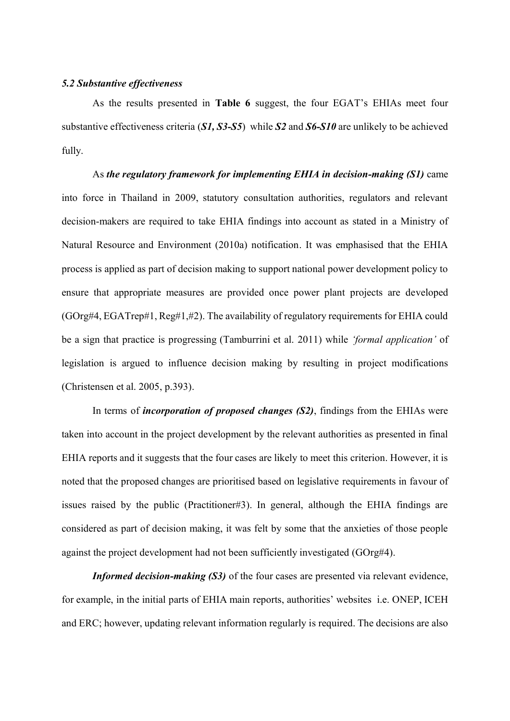## *5.2 Substantive effectiveness*

As the results presented in **Table 6** suggest, the four EGAT's EHIAs meet four substantive effectiveness criteria (*S1, S3-S5*) while *S2* and *S6-S10* are unlikely to be achieved fully.

As *the regulatory framework for implementing EHIA in decision-making (S1)* came into force in Thailand in 2009, statutory consultation authorities, regulators and relevant decision-makers are required to take EHIA findings into account as stated in a Ministry of Natural Resource and Environment (2010a) notification. It was emphasised that the EHIA process is applied as part of decision making to support national power development policy to ensure that appropriate measures are provided once power plant projects are developed (GOrg#4, EGATrep#1, Reg#1,#2). The availability of regulatory requirements for EHIA could be a sign that practice is progressing (Tamburrini et al. 2011) while *'formal application'* of legislation is argued to influence decision making by resulting in project modifications (Christensen et al. 2005, p.393).

In terms of *incorporation of proposed changes (S2)*, findings from the EHIAs were taken into account in the project development by the relevant authorities as presented in final EHIA reports and it suggests that the four cases are likely to meet this criterion. However, it is noted that the proposed changes are prioritised based on legislative requirements in favour of issues raised by the public (Practitioner#3). In general, although the EHIA findings are considered as part of decision making, it was felt by some that the anxieties of those people against the project development had not been sufficiently investigated (GOrg#4).

*Informed decision-making (S3)* of the four cases are presented via relevant evidence, for example, in the initial parts of EHIA main reports, authorities' websites i.e. ONEP, ICEH and ERC; however, updating relevant information regularly is required. The decisions are also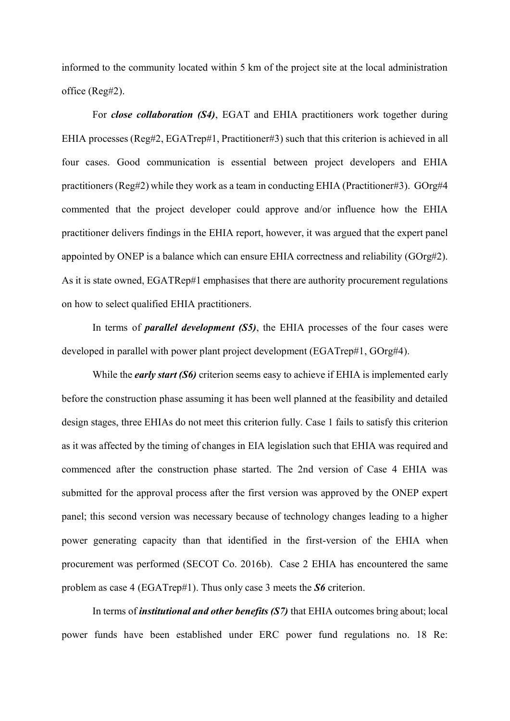informed to the community located within 5 km of the project site at the local administration office (Reg#2).

For *close collaboration (S4)*, EGAT and EHIA practitioners work together during EHIA processes (Reg#2, EGATrep#1, Practitioner#3) such that this criterion is achieved in all four cases. Good communication is essential between project developers and EHIA practitioners (Reg#2) while they work as a team in conducting EHIA (Practitioner#3). GOrg#4 commented that the project developer could approve and/or influence how the EHIA practitioner delivers findings in the EHIA report, however, it was argued that the expert panel appointed by ONEP is a balance which can ensure EHIA correctness and reliability (GOrg#2). As it is state owned, EGATRep#1 emphasises that there are authority procurement regulations on how to select qualified EHIA practitioners.

In terms of *parallel development (S5)*, the EHIA processes of the four cases were developed in parallel with power plant project development (EGATrep#1, GOrg#4).

While the *early start (S6)* criterion seems easy to achieve if EHIA is implemented early before the construction phase assuming it has been well planned at the feasibility and detailed design stages, three EHIAs do not meet this criterion fully. Case 1 fails to satisfy this criterion as it was affected by the timing of changes in EIA legislation such that EHIA was required and commenced after the construction phase started. The 2nd version of Case 4 EHIA was submitted for the approval process after the first version was approved by the ONEP expert panel; this second version was necessary because of technology changes leading to a higher power generating capacity than that identified in the first-version of the EHIA when procurement was performed (SECOT Co. 2016b). Case 2 EHIA has encountered the same problem as case 4 (EGATrep#1). Thus only case 3 meets the *S6* criterion.

In terms of *institutional and other benefits (S7)* that EHIA outcomes bring about; local power funds have been established under ERC power fund regulations no. 18 Re: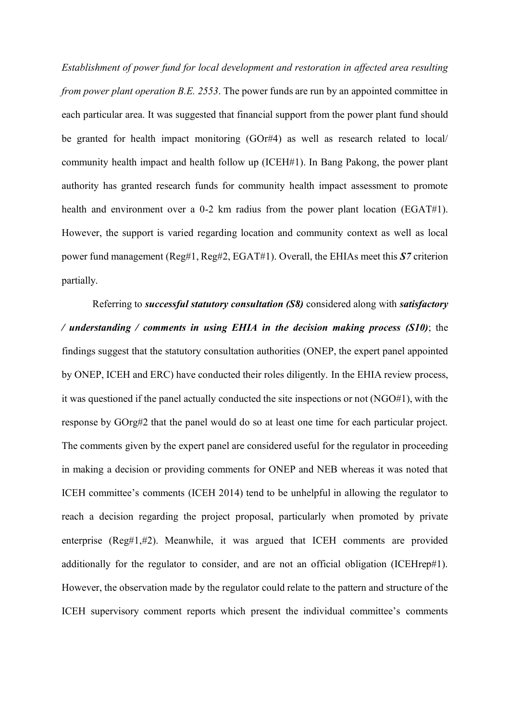*Establishment of power fund for local development and restoration in affected area resulting from power plant operation B.E. 2553*. The power funds are run by an appointed committee in each particular area. It was suggested that financial support from the power plant fund should be granted for health impact monitoring (GOr#4) as well as research related to local/ community health impact and health follow up (ICEH#1). In Bang Pakong, the power plant authority has granted research funds for community health impact assessment to promote health and environment over a 0-2 km radius from the power plant location (EGAT#1). However, the support is varied regarding location and community context as well as local power fund management (Reg#1, Reg#2, EGAT#1). Overall, the EHIAs meet this *S7* criterion partially.

Referring to *successful statutory consultation (S8)* considered along with *satisfactory / understanding / comments in using EHIA in the decision making process (S10)*; the findings suggest that the statutory consultation authorities (ONEP, the expert panel appointed by ONEP, ICEH and ERC) have conducted their roles diligently. In the EHIA review process, it was questioned if the panel actually conducted the site inspections or not (NGO#1), with the response by GOrg#2 that the panel would do so at least one time for each particular project. The comments given by the expert panel are considered useful for the regulator in proceeding in making a decision or providing comments for ONEP and NEB whereas it was noted that ICEH committee's comments (ICEH 2014) tend to be unhelpful in allowing the regulator to reach a decision regarding the project proposal, particularly when promoted by private enterprise (Reg#1,#2). Meanwhile, it was argued that ICEH comments are provided additionally for the regulator to consider, and are not an official obligation (ICEHrep#1). However, the observation made by the regulator could relate to the pattern and structure of the ICEH supervisory comment reports which present the individual committee's comments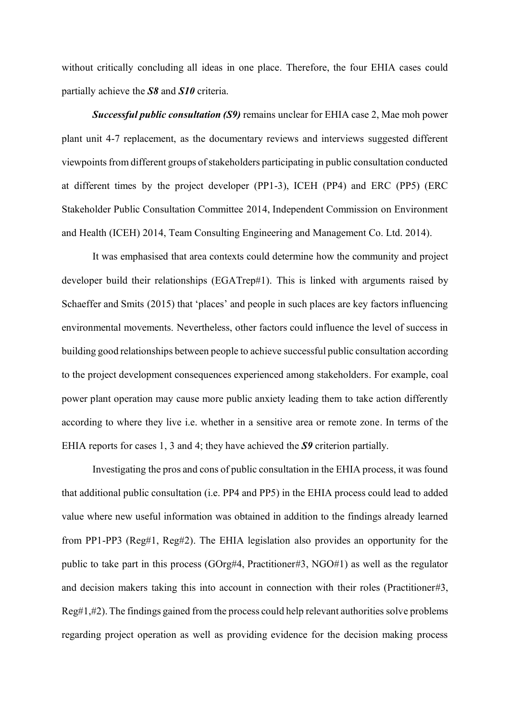without critically concluding all ideas in one place. Therefore, the four EHIA cases could partially achieve the *S8* and *S10* criteria.

*Successful public consultation (S9)* remains unclear for EHIA case 2, Mae moh power plant unit 4-7 replacement, as the documentary reviews and interviews suggested different viewpoints from different groups of stakeholders participating in public consultation conducted at different times by the project developer (PP1-3), ICEH (PP4) and ERC (PP5) (ERC Stakeholder Public Consultation Committee 2014, Independent Commission on Environment and Health (ICEH) 2014, Team Consulting Engineering and Management Co. Ltd. 2014).

It was emphasised that area contexts could determine how the community and project developer build their relationships (EGATrep#1). This is linked with arguments raised by Schaeffer and Smits (2015) that 'places' and people in such places are key factors influencing environmental movements. Nevertheless, other factors could influence the level of success in building good relationships between people to achieve successful public consultation according to the project development consequences experienced among stakeholders. For example, coal power plant operation may cause more public anxiety leading them to take action differently according to where they live i.e. whether in a sensitive area or remote zone. In terms of the EHIA reports for cases 1, 3 and 4; they have achieved the *S9* criterion partially.

Investigating the pros and cons of public consultation in the EHIA process, it was found that additional public consultation (i.e. PP4 and PP5) in the EHIA process could lead to added value where new useful information was obtained in addition to the findings already learned from PP1-PP3 (Reg#1, Reg#2). The EHIA legislation also provides an opportunity for the public to take part in this process (GOrg#4, Practitioner#3, NGO#1) as well as the regulator and decision makers taking this into account in connection with their roles (Practitioner#3, Reg#1,#2). The findings gained from the process could help relevant authorities solve problems regarding project operation as well as providing evidence for the decision making process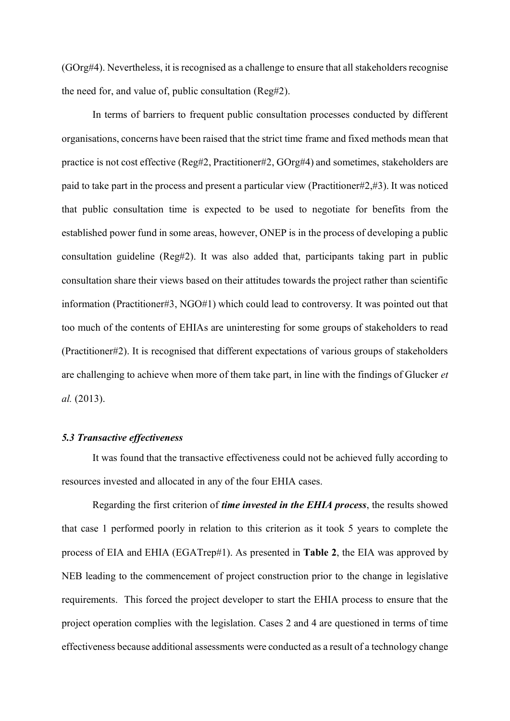(GOrg#4). Nevertheless, it is recognised as a challenge to ensure that all stakeholders recognise the need for, and value of, public consultation (Reg#2).

In terms of barriers to frequent public consultation processes conducted by different organisations, concerns have been raised that the strict time frame and fixed methods mean that practice is not cost effective (Reg#2, Practitioner#2, GOrg#4) and sometimes, stakeholders are paid to take part in the process and present a particular view (Practitioner#2,#3). It was noticed that public consultation time is expected to be used to negotiate for benefits from the established power fund in some areas, however, ONEP is in the process of developing a public consultation guideline (Reg#2). It was also added that, participants taking part in public consultation share their views based on their attitudes towards the project rather than scientific information (Practitioner#3, NGO#1) which could lead to controversy. It was pointed out that too much of the contents of EHIAs are uninteresting for some groups of stakeholders to read (Practitioner#2). It is recognised that different expectations of various groups of stakeholders are challenging to achieve when more of them take part, in line with the findings of Glucker *et al.* (2013).

## *5.3 Transactive effectiveness*

It was found that the transactive effectiveness could not be achieved fully according to resources invested and allocated in any of the four EHIA cases.

Regarding the first criterion of *time invested in the EHIA process*, the results showed that case 1 performed poorly in relation to this criterion as it took 5 years to complete the process of EIA and EHIA (EGATrep#1). As presented in **Table 2**, the EIA was approved by NEB leading to the commencement of project construction prior to the change in legislative requirements. This forced the project developer to start the EHIA process to ensure that the project operation complies with the legislation. Cases 2 and 4 are questioned in terms of time effectiveness because additional assessments were conducted as a result of a technology change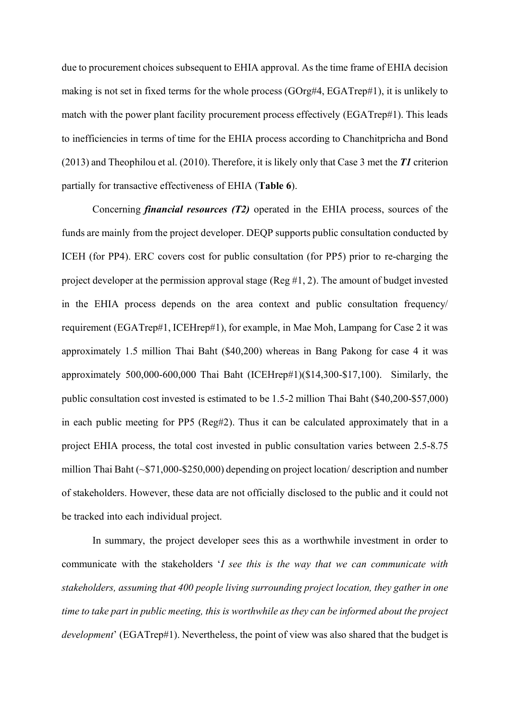due to procurement choices subsequent to EHIA approval. As the time frame of EHIA decision making is not set in fixed terms for the whole process (GOrg#4, EGATrep#1), it is unlikely to match with the power plant facility procurement process effectively (EGATrep#1). This leads to inefficiencies in terms of time for the EHIA process according to Chanchitpricha and Bond (2013) and Theophilou et al. (2010). Therefore, it is likely only that Case 3 met the *T1* criterion partially for transactive effectiveness of EHIA (**Table 6**).

Concerning *financial resources (T2)* operated in the EHIA process, sources of the funds are mainly from the project developer. DEQP supports public consultation conducted by ICEH (for PP4). ERC covers cost for public consultation (for PP5) prior to re-charging the project developer at the permission approval stage (Reg #1, 2). The amount of budget invested in the EHIA process depends on the area context and public consultation frequency/ requirement (EGATrep#1, ICEHrep#1), for example, in Mae Moh, Lampang for Case 2 it was approximately 1.5 million Thai Baht (\$40,200) whereas in Bang Pakong for case 4 it was approximately 500,000-600,000 Thai Baht (ICEHrep#1)(\$14,300-\$17,100). Similarly, the public consultation cost invested is estimated to be 1.5-2 million Thai Baht (\$40,200-\$57,000) in each public meeting for PP5 (Reg#2). Thus it can be calculated approximately that in a project EHIA process, the total cost invested in public consultation varies between 2.5-8.75 million Thai Baht (~\$71,000-\$250,000) depending on project location/ description and number of stakeholders. However, these data are not officially disclosed to the public and it could not be tracked into each individual project.

In summary, the project developer sees this as a worthwhile investment in order to communicate with the stakeholders '*I see this is the way that we can communicate with stakeholders, assuming that 400 people living surrounding project location, they gather in one time to take part in public meeting, this is worthwhile as they can be informed about the project development*' (EGATrep#1). Nevertheless, the point of view was also shared that the budget is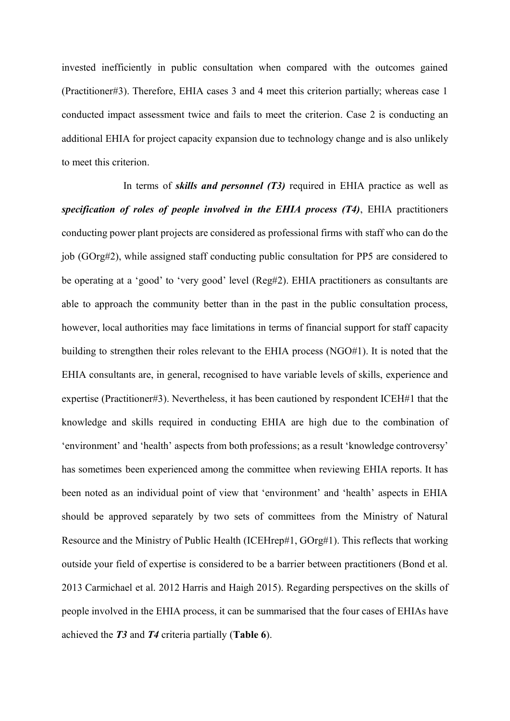invested inefficiently in public consultation when compared with the outcomes gained (Practitioner#3). Therefore, EHIA cases 3 and 4 meet this criterion partially; whereas case 1 conducted impact assessment twice and fails to meet the criterion. Case 2 is conducting an additional EHIA for project capacity expansion due to technology change and is also unlikely to meet this criterion.

In terms of *skills and personnel (T3)* required in EHIA practice as well as *specification of roles of people involved in the EHIA process (T4)*, EHIA practitioners conducting power plant projects are considered as professional firms with staff who can do the job (GOrg#2), while assigned staff conducting public consultation for PP5 are considered to be operating at a 'good' to 'very good' level (Reg#2). EHIA practitioners as consultants are able to approach the community better than in the past in the public consultation process, however, local authorities may face limitations in terms of financial support for staff capacity building to strengthen their roles relevant to the EHIA process (NGO#1). It is noted that the EHIA consultants are, in general, recognised to have variable levels of skills, experience and expertise (Practitioner#3). Nevertheless, it has been cautioned by respondent ICEH#1 that the knowledge and skills required in conducting EHIA are high due to the combination of 'environment' and 'health' aspects from both professions; as a result 'knowledge controversy' has sometimes been experienced among the committee when reviewing EHIA reports. It has been noted as an individual point of view that 'environment' and 'health' aspects in EHIA should be approved separately by two sets of committees from the Ministry of Natural Resource and the Ministry of Public Health (ICEHrep#1, GOrg#1). This reflects that working outside your field of expertise is considered to be a barrier between practitioners (Bond et al. 2013 Carmichael et al. 2012 Harris and Haigh 2015). Regarding perspectives on the skills of people involved in the EHIA process, it can be summarised that the four cases of EHIAs have achieved the *T3* and *T4* criteria partially (**Table 6**).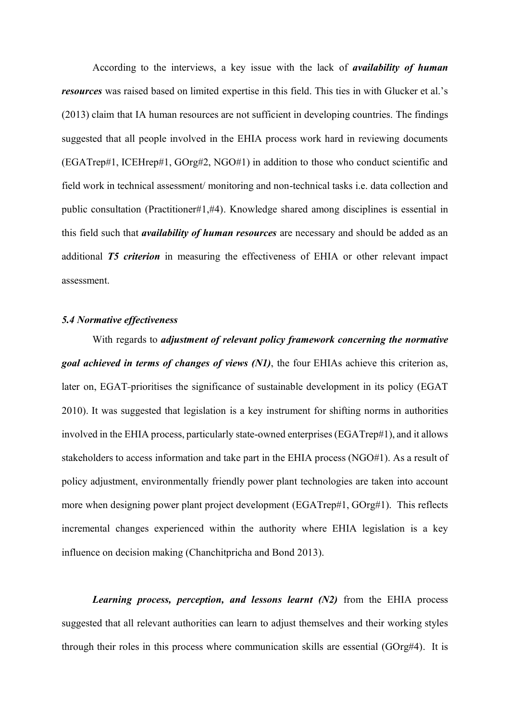According to the interviews, a key issue with the lack of *availability of human resources* was raised based on limited expertise in this field. This ties in with Glucker et al.'s (2013) claim that IA human resources are not sufficient in developing countries. The findings suggested that all people involved in the EHIA process work hard in reviewing documents (EGATrep#1, ICEHrep#1, GOrg#2, NGO#1) in addition to those who conduct scientific and field work in technical assessment/ monitoring and non-technical tasks i.e. data collection and public consultation (Practitioner#1,#4). Knowledge shared among disciplines is essential in this field such that *availability of human resources* are necessary and should be added as an additional *T5 criterion* in measuring the effectiveness of EHIA or other relevant impact assessment.

#### *5.4 Normative effectiveness*

With regards to *adjustment of relevant policy framework concerning the normative goal achieved in terms of changes of views (N1)*, the four EHIAs achieve this criterion as, later on, EGAT-prioritises the significance of sustainable development in its policy (EGAT) 2010). It was suggested that legislation is a key instrument for shifting norms in authorities involved in the EHIA process, particularly state-owned enterprises(EGATrep#1), and it allows stakeholders to access information and take part in the EHIA process (NGO#1). As a result of policy adjustment, environmentally friendly power plant technologies are taken into account more when designing power plant project development (EGATrep#1, GOrg#1). This reflects incremental changes experienced within the authority where EHIA legislation is a key influence on decision making (Chanchitpricha and Bond 2013).

*Learning process, perception, and lessons learnt (N2)* from the EHIA process suggested that all relevant authorities can learn to adjust themselves and their working styles through their roles in this process where communication skills are essential (GOrg#4). It is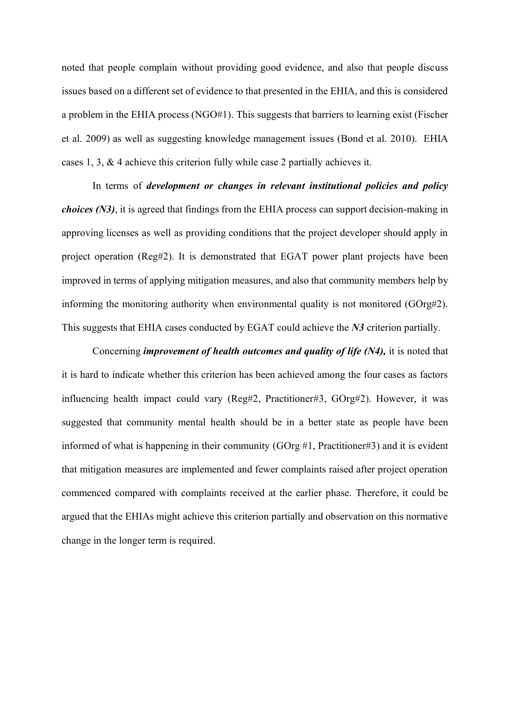noted that people complain without providing good evidence, and also that people discuss issues based on a different set of evidence to that presented in the EHIA, and this is considered a problem in the EHIA process (NGO#1). This suggests that barriers to learning exist (Fischer et al. 2009) as well as suggesting knowledge management issues (Bond et al. 2010). EHIA cases 1, 3, & 4 achieve this criterion fully while case 2 partially achieves it.

In terms of *development or changes in relevant institutional policies and policy choices (N3)*, it is agreed that findings from the EHIA process can support decision-making in approving licenses as well as providing conditions that the project developer should apply in project operation (Reg#2). It is demonstrated that EGAT power plant projects have been improved in terms of applying mitigation measures, and also that community members help by informing the monitoring authority when environmental quality is not monitored (GOrg#2). This suggests that EHIA cases conducted by EGAT could achieve the *N3* criterion partially.

Concerning *improvement of health outcomes and quality of life (N4),* it is noted that it is hard to indicate whether this criterion has been achieved among the four cases as factors influencing health impact could vary (Reg#2, Practitioner#3, GOrg#2). However, it was suggested that community mental health should be in a better state as people have been informed of what is happening in their community (GOrg #1, Practitioner#3) and it is evident that mitigation measures are implemented and fewer complaints raised after project operation commenced compared with complaints received at the earlier phase. Therefore, it could be argued that the EHIAs might achieve this criterion partially and observation on this normative change in the longer term is required.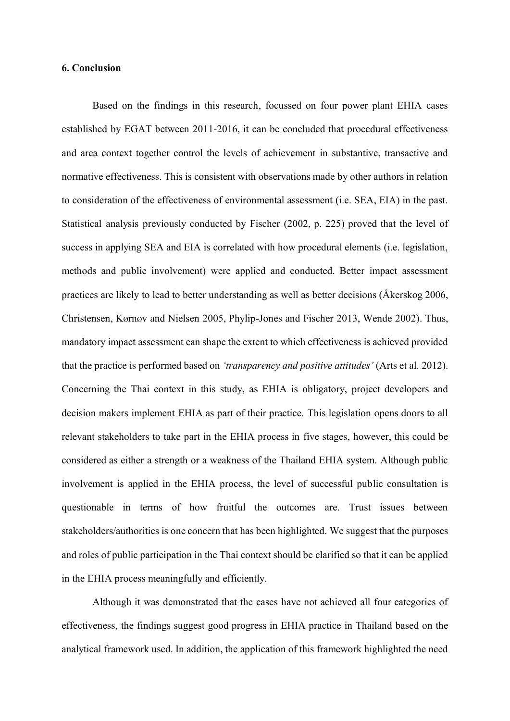## **6. Conclusion**

Based on the findings in this research, focussed on four power plant EHIA cases established by EGAT between 2011-2016, it can be concluded that procedural effectiveness and area context together control the levels of achievement in substantive, transactive and normative effectiveness. This is consistent with observations made by other authors in relation to consideration of the effectiveness of environmental assessment (i.e. SEA, EIA) in the past. Statistical analysis previously conducted by Fischer (2002, p. 225) proved that the level of success in applying SEA and EIA is correlated with how procedural elements (i.e. legislation, methods and public involvement) were applied and conducted. Better impact assessment practices are likely to lead to better understanding as well as better decisions (Åkerskog 2006, Christensen, Kørnøv and Nielsen 2005, Phylip-Jones and Fischer 2013, Wende 2002). Thus, mandatory impact assessment can shape the extent to which effectiveness is achieved provided that the practice is performed based on *'transparency and positive attitudes'* (Arts et al. 2012). Concerning the Thai context in this study, as EHIA is obligatory, project developers and decision makers implement EHIA as part of their practice. This legislation opens doors to all relevant stakeholders to take part in the EHIA process in five stages, however, this could be considered as either a strength or a weakness of the Thailand EHIA system. Although public involvement is applied in the EHIA process, the level of successful public consultation is questionable in terms of how fruitful the outcomes are. Trust issues between stakeholders/authorities is one concern that has been highlighted. We suggest that the purposes and roles of public participation in the Thai context should be clarified so that it can be applied in the EHIA process meaningfully and efficiently.

Although it was demonstrated that the cases have not achieved all four categories of effectiveness, the findings suggest good progress in EHIA practice in Thailand based on the analytical framework used. In addition, the application of this framework highlighted the need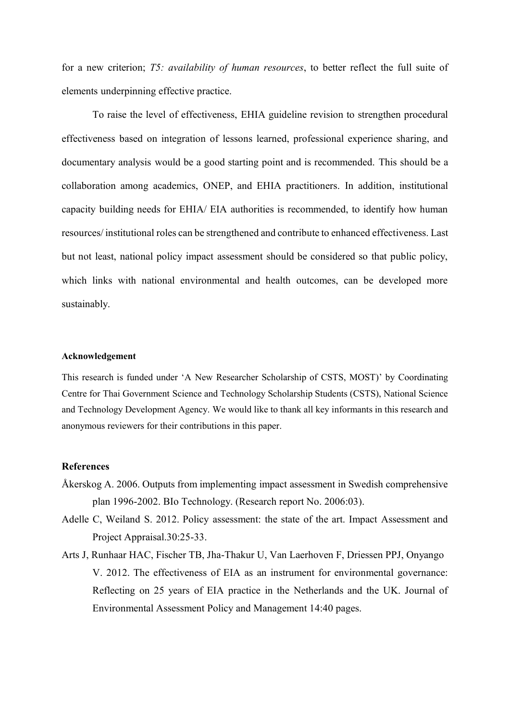for a new criterion; *T5: availability of human resources*, to better reflect the full suite of elements underpinning effective practice.

To raise the level of effectiveness, EHIA guideline revision to strengthen procedural effectiveness based on integration of lessons learned, professional experience sharing, and documentary analysis would be a good starting point and is recommended. This should be a collaboration among academics, ONEP, and EHIA practitioners. In addition, institutional capacity building needs for EHIA/ EIA authorities is recommended, to identify how human resources/ institutional roles can be strengthened and contribute to enhanced effectiveness. Last but not least, national policy impact assessment should be considered so that public policy, which links with national environmental and health outcomes, can be developed more sustainably.

#### **Acknowledgement**

This research is funded under 'A New Researcher Scholarship of CSTS, MOST)' by Coordinating Centre for Thai Government Science and Technology Scholarship Students (CSTS), National Science and Technology Development Agency. We would like to thank all key informants in this research and anonymous reviewers for their contributions in this paper.

### **References**

- Åkerskog A. 2006. Outputs from implementing impact assessment in Swedish comprehensive plan 1996-2002. BIo Technology. (Research report No. 2006:03).
- Adelle C, Weiland S. 2012. Policy assessment: the state of the art. Impact Assessment and Project Appraisal.30:25-33.
- Arts J, Runhaar HAC, Fischer TB, Jha-Thakur U, Van Laerhoven F, Driessen PPJ, Onyango V. 2012. The effectiveness of EIA as an instrument for environmental governance: Reflecting on 25 years of EIA practice in the Netherlands and the UK. Journal of Environmental Assessment Policy and Management 14:40 pages.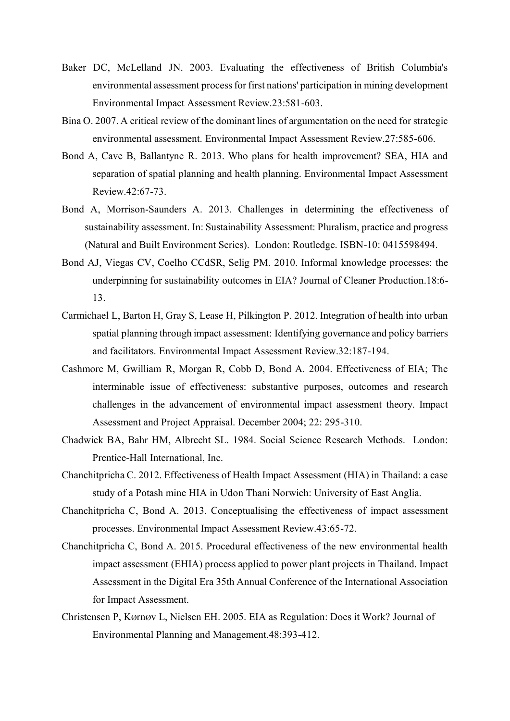- Baker DC, McLelland JN. 2003. Evaluating the effectiveness of British Columbia's environmental assessment process for first nations' participation in mining development Environmental Impact Assessment Review.23:581-603.
- Bina O. 2007. A critical review of the dominant lines of argumentation on the need for strategic environmental assessment. Environmental Impact Assessment Review.27:585-606.
- Bond A, Cave B, Ballantyne R. 2013. Who plans for health improvement? SEA, HIA and separation of spatial planning and health planning. Environmental Impact Assessment Review.42:67-73.
- Bond A, Morrison-Saunders A. 2013. Challenges in determining the effectiveness of sustainability assessment. In: Sustainability Assessment: Pluralism, practice and progress (Natural and Built Environment Series). London: Routledge. ISBN-10: 0415598494.
- Bond AJ, Viegas CV, Coelho CCdSR, Selig PM. 2010. Informal knowledge processes: the underpinning for sustainability outcomes in EIA? Journal of Cleaner Production.18:6- 13.
- Carmichael L, Barton H, Gray S, Lease H, Pilkington P. 2012. Integration of health into urban spatial planning through impact assessment: Identifying governance and policy barriers and facilitators. Environmental Impact Assessment Review.32:187-194.
- Cashmore M, Gwilliam R, Morgan R, Cobb D, Bond A. 2004. Effectiveness of EIA; The interminable issue of effectiveness: substantive purposes, outcomes and research challenges in the advancement of environmental impact assessment theory. Impact Assessment and Project Appraisal. December 2004; 22: 295-310.
- Chadwick BA, Bahr HM, Albrecht SL. 1984. Social Science Research Methods. London: Prentice-Hall International, Inc.
- Chanchitpricha C. 2012. Effectiveness of Health Impact Assessment (HIA) in Thailand: a case study of a Potash mine HIA in Udon Thani Norwich: University of East Anglia.
- Chanchitpricha C, Bond A. 2013. Conceptualising the effectiveness of impact assessment processes. Environmental Impact Assessment Review.43:65-72.
- Chanchitpricha C, Bond A. 2015. Procedural effectiveness of the new environmental health impact assessment (EHIA) process applied to power plant projects in Thailand. Impact Assessment in the Digital Era 35th Annual Conference of the International Association for Impact Assessment.
- Christensen P, KØrnØv L, Nielsen EH. 2005. EIA as Regulation: Does it Work? Journal of Environmental Planning and Management.48:393-412.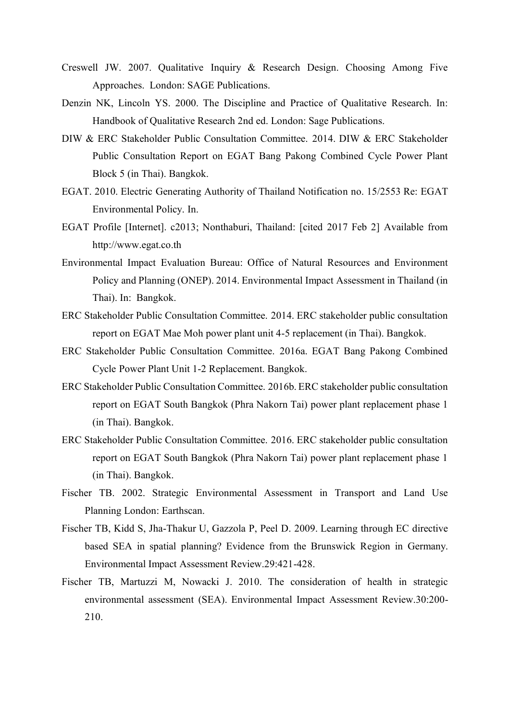- Creswell JW. 2007. Qualitative Inquiry & Research Design. Choosing Among Five Approaches. London: SAGE Publications.
- Denzin NK, Lincoln YS. 2000. The Discipline and Practice of Qualitative Research. In: Handbook of Qualitative Research 2nd ed. London: Sage Publications.
- DIW & ERC Stakeholder Public Consultation Committee. 2014. DIW & ERC Stakeholder Public Consultation Report on EGAT Bang Pakong Combined Cycle Power Plant Block 5 (in Thai). Bangkok.
- EGAT. 2010. Electric Generating Authority of Thailand Notification no. 15/2553 Re: EGAT Environmental Policy. In.
- EGAT Profile [Internet]. c2013; Nonthaburi, Thailand: [cited 2017 Feb 2] Available from http://www.egat.co.th
- Environmental Impact Evaluation Bureau: Office of Natural Resources and Environment Policy and Planning (ONEP). 2014. Environmental Impact Assessment in Thailand (in Thai). In: Bangkok.
- ERC Stakeholder Public Consultation Committee. 2014. ERC stakeholder public consultation report on EGAT Mae Moh power plant unit 4-5 replacement (in Thai). Bangkok.
- ERC Stakeholder Public Consultation Committee. 2016a. EGAT Bang Pakong Combined Cycle Power Plant Unit 1-2 Replacement. Bangkok.
- ERC Stakeholder Public Consultation Committee. 2016b. ERC stakeholder public consultation report on EGAT South Bangkok (Phra Nakorn Tai) power plant replacement phase 1 (in Thai). Bangkok.
- ERC Stakeholder Public Consultation Committee. 2016. ERC stakeholder public consultation report on EGAT South Bangkok (Phra Nakorn Tai) power plant replacement phase 1 (in Thai). Bangkok.
- Fischer TB. 2002. Strategic Environmental Assessment in Transport and Land Use Planning London: Earthscan.
- Fischer TB, Kidd S, Jha-Thakur U, Gazzola P, Peel D. 2009. Learning through EC directive based SEA in spatial planning? Evidence from the Brunswick Region in Germany. Environmental Impact Assessment Review.29:421-428.
- Fischer TB, Martuzzi M, Nowacki J. 2010. The consideration of health in strategic environmental assessment (SEA). Environmental Impact Assessment Review.30:200- 210.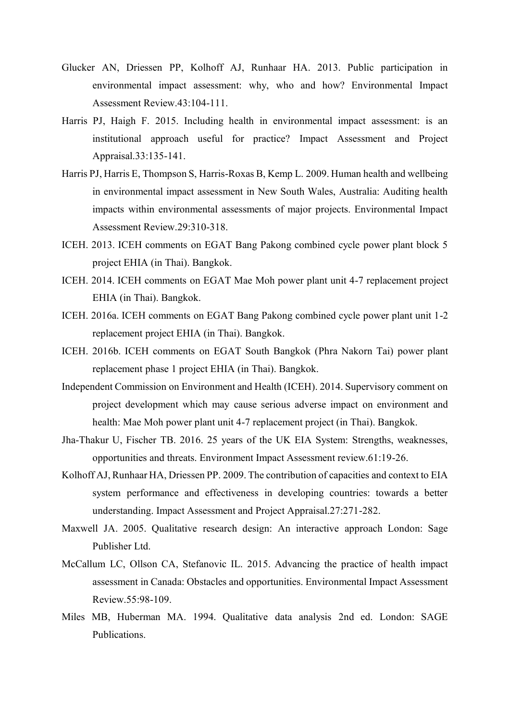- Glucker AN, Driessen PP, Kolhoff AJ, Runhaar HA. 2013. Public participation in environmental impact assessment: why, who and how? Environmental Impact Assessment Review.43:104-111.
- Harris PJ, Haigh F. 2015. Including health in environmental impact assessment: is an institutional approach useful for practice? Impact Assessment and Project Appraisal.33:135-141.
- Harris PJ, Harris E, Thompson S, Harris-Roxas B, Kemp L. 2009. Human health and wellbeing in environmental impact assessment in New South Wales, Australia: Auditing health impacts within environmental assessments of major projects. Environmental Impact Assessment Review.29:310-318.
- ICEH. 2013. ICEH comments on EGAT Bang Pakong combined cycle power plant block 5 project EHIA (in Thai). Bangkok.
- ICEH. 2014. ICEH comments on EGAT Mae Moh power plant unit 4-7 replacement project EHIA (in Thai). Bangkok.
- ICEH. 2016a. ICEH comments on EGAT Bang Pakong combined cycle power plant unit 1-2 replacement project EHIA (in Thai). Bangkok.
- ICEH. 2016b. ICEH comments on EGAT South Bangkok (Phra Nakorn Tai) power plant replacement phase 1 project EHIA (in Thai). Bangkok.
- Independent Commission on Environment and Health (ICEH). 2014. Supervisory comment on project development which may cause serious adverse impact on environment and health: Mae Moh power plant unit 4-7 replacement project (in Thai). Bangkok.
- Jha-Thakur U, Fischer TB. 2016. 25 years of the UK EIA System: Strengths, weaknesses, opportunities and threats. Environment Impact Assessment review.61:19-26.
- Kolhoff AJ, Runhaar HA, Driessen PP. 2009. The contribution of capacities and context to EIA system performance and effectiveness in developing countries: towards a better understanding. Impact Assessment and Project Appraisal.27:271-282.
- Maxwell JA. 2005. Qualitative research design: An interactive approach London: Sage Publisher Ltd.
- McCallum LC, Ollson CA, Stefanovic IL. 2015. Advancing the practice of health impact assessment in Canada: Obstacles and opportunities. Environmental Impact Assessment Review.55:98-109.
- Miles MB, Huberman MA. 1994. Qualitative data analysis 2nd ed. London: SAGE Publications.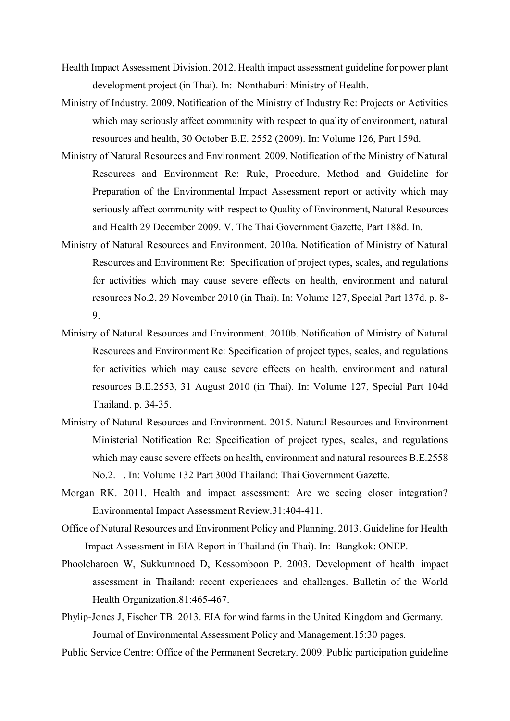- Health Impact Assessment Division. 2012. Health impact assessment guideline for power plant development project (in Thai). In: Nonthaburi: Ministry of Health.
- Ministry of Industry. 2009. Notification of the Ministry of Industry Re: Projects or Activities which may seriously affect community with respect to quality of environment, natural resources and health, 30 October B.E. 2552 (2009). In: Volume 126, Part 159d.
- Ministry of Natural Resources and Environment. 2009. Notification of the Ministry of Natural Resources and Environment Re: Rule, Procedure, Method and Guideline for Preparation of the Environmental Impact Assessment report or activity which may seriously affect community with respect to Quality of Environment, Natural Resources and Health 29 December 2009. V. The Thai Government Gazette, Part 188d. In.
- Ministry of Natural Resources and Environment. 2010a. Notification of Ministry of Natural Resources and Environment Re: Specification of project types, scales, and regulations for activities which may cause severe effects on health, environment and natural resources No.2, 29 November 2010 (in Thai). In: Volume 127, Special Part 137d. p. 8- 9.
- Ministry of Natural Resources and Environment. 2010b. Notification of Ministry of Natural Resources and Environment Re: Specification of project types, scales, and regulations for activities which may cause severe effects on health, environment and natural resources B.E.2553, 31 August 2010 (in Thai). In: Volume 127, Special Part 104d Thailand. p. 34-35.
- Ministry of Natural Resources and Environment. 2015. Natural Resources and Environment Ministerial Notification Re: Specification of project types, scales, and regulations which may cause severe effects on health, environment and natural resources B.E.2558 No.2. . In: Volume 132 Part 300d Thailand: Thai Government Gazette.
- Morgan RK. 2011. Health and impact assessment: Are we seeing closer integration? Environmental Impact Assessment Review.31:404-411.
- Office of Natural Resources and Environment Policy and Planning. 2013. Guideline for Health Impact Assessment in EIA Report in Thailand (in Thai). In: Bangkok: ONEP.
- Phoolcharoen W, Sukkumnoed D, Kessomboon P. 2003. Development of health impact assessment in Thailand: recent experiences and challenges. Bulletin of the World Health Organization.81:465-467.
- Phylip-Jones J, Fischer TB. 2013. EIA for wind farms in the United Kingdom and Germany. Journal of Environmental Assessment Policy and Management.15:30 pages.
- Public Service Centre: Office of the Permanent Secretary. 2009. Public participation guideline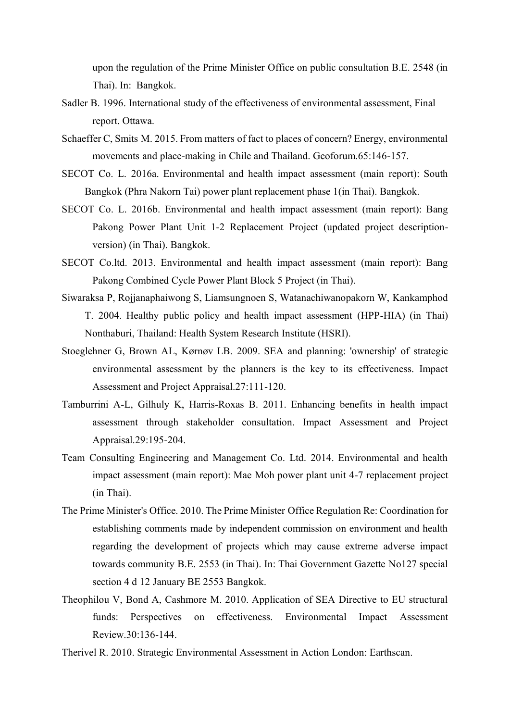upon the regulation of the Prime Minister Office on public consultation B.E. 2548 (in Thai). In: Bangkok.

- Sadler B. 1996. International study of the effectiveness of environmental assessment, Final report. Ottawa.
- Schaeffer C, Smits M. 2015. From matters of fact to places of concern? Energy, environmental movements and place-making in Chile and Thailand. Geoforum.65:146-157.
- SECOT Co. L. 2016a. Environmental and health impact assessment (main report): South Bangkok (Phra Nakorn Tai) power plant replacement phase 1(in Thai). Bangkok.
- SECOT Co. L. 2016b. Environmental and health impact assessment (main report): Bang Pakong Power Plant Unit 1-2 Replacement Project (updated project descriptionversion) (in Thai). Bangkok.
- SECOT Co.ltd. 2013. Environmental and health impact assessment (main report): Bang Pakong Combined Cycle Power Plant Block 5 Project (in Thai).
- Siwaraksa P, Rojjanaphaiwong S, Liamsungnoen S, Watanachiwanopakorn W, Kankamphod T. 2004. Healthy public policy and health impact assessment (HPP-HIA) (in Thai) Nonthaburi, Thailand: Health System Research Institute (HSRI).
- Stoeglehner G, Brown AL, Kørnøv LB. 2009. SEA and planning: 'ownership' of strategic environmental assessment by the planners is the key to its effectiveness. Impact Assessment and Project Appraisal.27:111-120.
- Tamburrini A-L, Gilhuly K, Harris-Roxas B. 2011. Enhancing benefits in health impact assessment through stakeholder consultation. Impact Assessment and Project Appraisal.29:195-204.
- Team Consulting Engineering and Management Co. Ltd. 2014. Environmental and health impact assessment (main report): Mae Moh power plant unit 4-7 replacement project (in Thai).
- The Prime Minister's Office. 2010. The Prime Minister Office Regulation Re: Coordination for establishing comments made by independent commission on environment and health regarding the development of projects which may cause extreme adverse impact towards community B.E. 2553 (in Thai). In: Thai Government Gazette No127 special section 4 d 12 January BE 2553 Bangkok.
- Theophilou V, Bond A, Cashmore M. 2010. Application of SEA Directive to EU structural funds: Perspectives on effectiveness. Environmental Impact Assessment Review.30:136-144.
- Therivel R. 2010. Strategic Environmental Assessment in Action London: Earthscan.